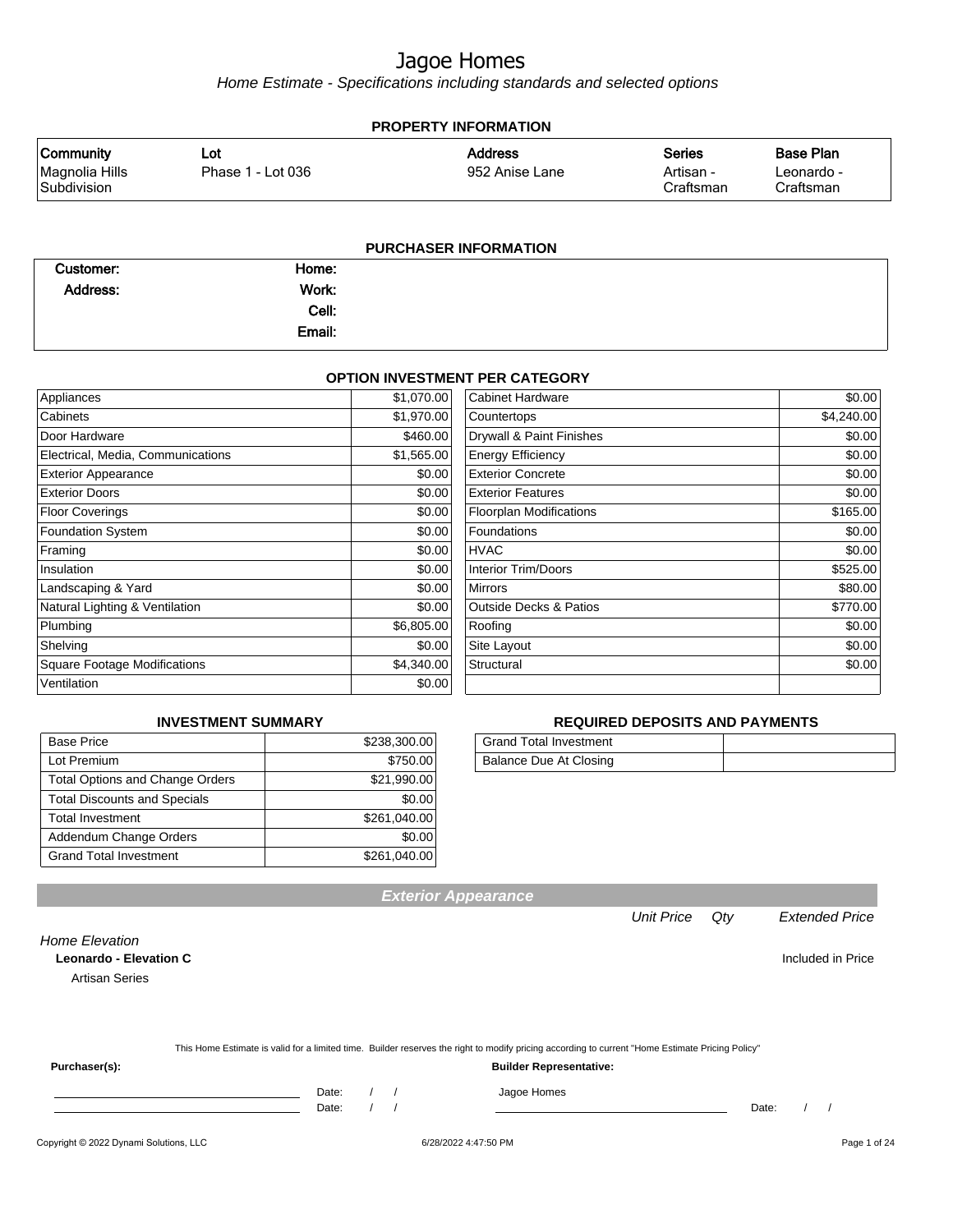Home Estimate - Specifications including standards and selected options

|                                                   | <b>PROPERTY INFORMATION</b> |                                  |                                         |                                             |  |
|---------------------------------------------------|-----------------------------|----------------------------------|-----------------------------------------|---------------------------------------------|--|
| <b>Community</b><br>Magnolia Hills<br>Subdivision | Lot<br>Phase 1 - Lot 036    | <b>Address</b><br>952 Anise Lane | <b>Series</b><br>Artisan -<br>Craftsman | <b>Base Plan</b><br>Leonardo -<br>Craftsman |  |
|                                                   |                             | <b>PURCHASER INFORMATION</b>     |                                         |                                             |  |

| Customer: | Home:  |  |
|-----------|--------|--|
| Address:  | Work:  |  |
|           | Cell:  |  |
|           | Email: |  |

#### **OPTION INVESTMENT PER CATEGORY**

| Appliances                          | \$1,070.00 | <b>Cabinet Hardware</b>           | \$0.00     |
|-------------------------------------|------------|-----------------------------------|------------|
| Cabinets                            | \$1,970.00 | Countertops                       | \$4,240.00 |
| Door Hardware                       | \$460.00   | Drywall & Paint Finishes          | \$0.00     |
| Electrical, Media, Communications   | \$1,565.00 | <b>Energy Efficiency</b>          | \$0.00     |
| <b>Exterior Appearance</b>          | \$0.00     | <b>Exterior Concrete</b>          | \$0.00     |
| <b>Exterior Doors</b>               | \$0.00     | <b>Exterior Features</b>          | \$0.00     |
| <b>Floor Coverings</b>              | \$0.00     | <b>Floorplan Modifications</b>    | \$165.00   |
| <b>Foundation System</b>            | \$0.00     | Foundations                       | \$0.00     |
| Framing                             | \$0.00     | <b>HVAC</b>                       | \$0.00     |
| Insulation                          | \$0.00     | <b>Interior Trim/Doors</b>        | \$525.00   |
| Landscaping & Yard                  | \$0.00     | <b>Mirrors</b>                    | \$80.00    |
| Natural Lighting & Ventilation      | \$0.00     | <b>Outside Decks &amp; Patios</b> | \$770.00   |
| Plumbing                            | \$6,805.00 | Roofing                           | \$0.00     |
| Shelving                            | \$0.00     | Site Layout                       | \$0.00     |
| <b>Square Footage Modifications</b> | \$4,340.00 | Structural                        | \$0.00     |
| Ventilation                         | \$0.00     |                                   |            |

### **INVESTMENT SUMMARY**

| <b>Base Price</b>                      | \$238,300.00 |
|----------------------------------------|--------------|
| Lot Premium                            | \$750.00     |
| <b>Total Options and Change Orders</b> | \$21,990.00  |
| <b>Total Discounts and Specials</b>    | \$0.00       |
| <b>Total Investment</b>                | \$261,040.00 |
| Addendum Change Orders                 | \$0.00       |
| <b>Grand Total Investment</b>          | \$261,040.00 |

### **REQUIRED DEPOSITS AND PAYMENTS**

| <b>Grand Total Investment</b> |  |
|-------------------------------|--|
| Balance Due At Closing        |  |

**Leonardo - Elevation C Included in Price** 

Artisan Series

Home Elevation

|  | This Home Estimate is valid for a limited time. Builder reserves the right to modify pricing according to current "Home Estimate Pricing Policy" |  |
|--|--------------------------------------------------------------------------------------------------------------------------------------------------|--|
|  |                                                                                                                                                  |  |

**Exterior Appearance**

**Purchaser(s): Builder Representative:**

Date: / / Jagoe Homes<br>Date: / / Jagoe Homes Date: / / Date: / /

Unit Price Qty Extended Price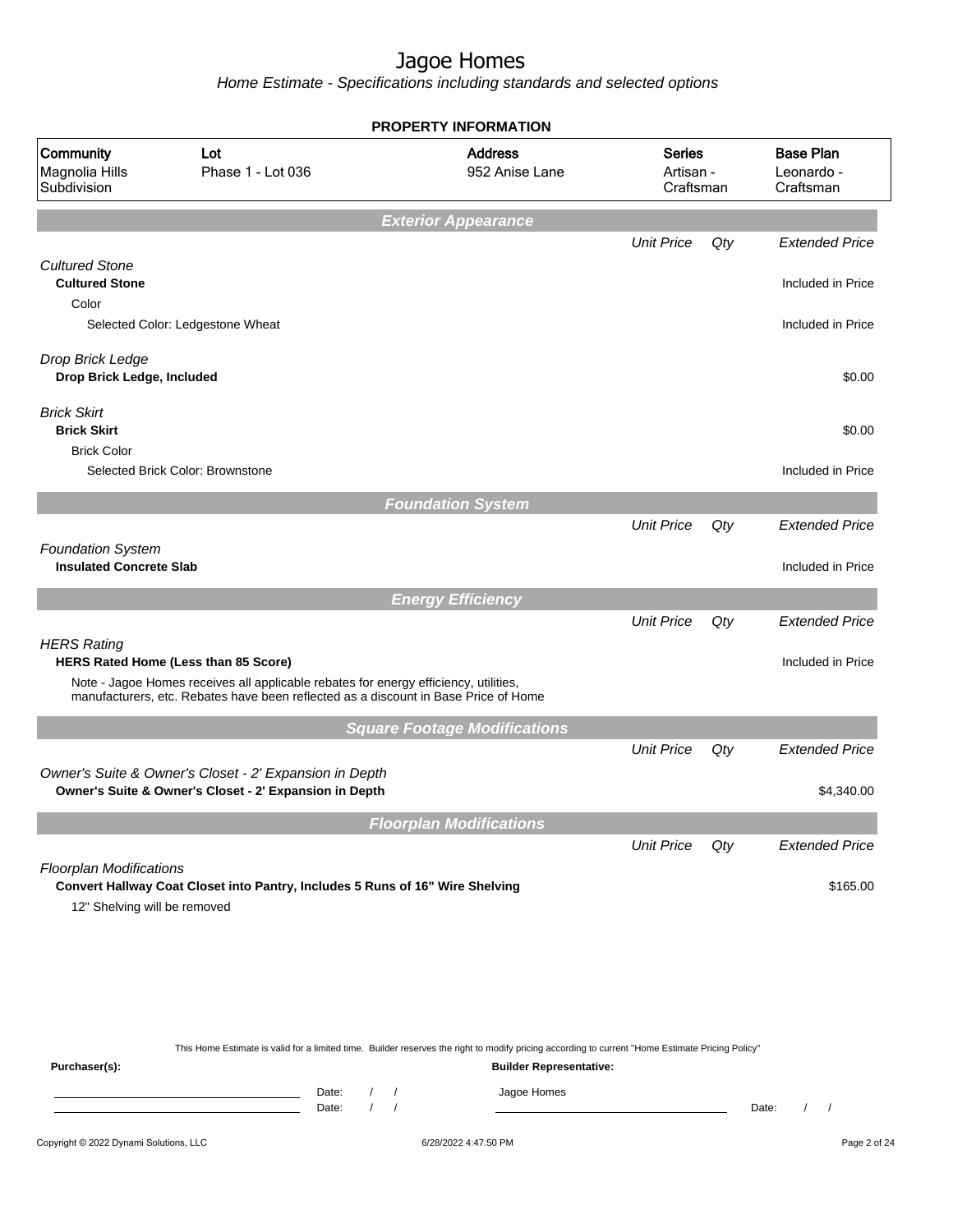Home Estimate - Specifications including standards and selected options

| Community<br>Magnolia Hills<br>Subdivision<br><b>Cultured Stone</b><br><b>Cultured Stone</b> | Lot<br>Phase 1 - Lot 036                                                                                                                                                    | <b>Address</b><br>952 Anise Lane<br><b>Exterior Appearance</b> | <b>Series</b><br>Artisan -<br>Craftsman |     | <b>Base Plan</b><br>Leonardo -<br>Craftsman |
|----------------------------------------------------------------------------------------------|-----------------------------------------------------------------------------------------------------------------------------------------------------------------------------|----------------------------------------------------------------|-----------------------------------------|-----|---------------------------------------------|
|                                                                                              |                                                                                                                                                                             |                                                                |                                         |     |                                             |
|                                                                                              |                                                                                                                                                                             |                                                                |                                         |     |                                             |
|                                                                                              |                                                                                                                                                                             |                                                                | <b>Unit Price</b>                       | Qty | <b>Extended Price</b>                       |
| Color                                                                                        |                                                                                                                                                                             |                                                                |                                         |     | Included in Price                           |
| Selected Color: Ledgestone Wheat                                                             |                                                                                                                                                                             |                                                                |                                         |     | Included in Price                           |
| Drop Brick Ledge<br>Drop Brick Ledge, Included                                               |                                                                                                                                                                             |                                                                |                                         |     | \$0.00                                      |
| <b>Brick Skirt</b><br><b>Brick Skirt</b>                                                     |                                                                                                                                                                             |                                                                |                                         |     | \$0.00                                      |
| <b>Brick Color</b><br>Selected Brick Color: Brownstone                                       |                                                                                                                                                                             |                                                                |                                         |     | Included in Price                           |
|                                                                                              |                                                                                                                                                                             | <b>Foundation System</b>                                       |                                         |     |                                             |
|                                                                                              |                                                                                                                                                                             |                                                                | <b>Unit Price</b>                       | Qty | <b>Extended Price</b>                       |
| <b>Foundation System</b><br><b>Insulated Concrete Slab</b>                                   |                                                                                                                                                                             |                                                                |                                         |     | Included in Price                           |
|                                                                                              |                                                                                                                                                                             | <b>Energy Efficiency</b>                                       |                                         |     |                                             |
| <b>HERS Rating</b><br>HERS Rated Home (Less than 85 Score)                                   |                                                                                                                                                                             |                                                                | <b>Unit Price</b>                       | Qty | <b>Extended Price</b><br>Included in Price  |
|                                                                                              | Note - Jagoe Homes receives all applicable rebates for energy efficiency, utilities,<br>manufacturers, etc. Rebates have been reflected as a discount in Base Price of Home |                                                                |                                         |     |                                             |
|                                                                                              |                                                                                                                                                                             | <b>Square Footage Modifications</b>                            |                                         |     |                                             |
|                                                                                              |                                                                                                                                                                             |                                                                | <b>Unit Price</b>                       | Qty | <b>Extended Price</b>                       |
|                                                                                              | Owner's Suite & Owner's Closet - 2' Expansion in Depth<br>Owner's Suite & Owner's Closet - 2' Expansion in Depth                                                            |                                                                |                                         |     | \$4,340.00                                  |
|                                                                                              |                                                                                                                                                                             | <b>Floorplan Modifications</b>                                 |                                         |     |                                             |
|                                                                                              |                                                                                                                                                                             |                                                                | <b>Unit Price</b>                       | Qty | <b>Extended Price</b>                       |
| <b>Floorplan Modifications</b><br>12" Shelving will be removed                               | Convert Hallway Coat Closet into Pantry, Includes 5 Runs of 16" Wire Shelving                                                                                               |                                                                |                                         |     | \$165.00                                    |

This Home Estimate is valid for a limited time. Builder reserves the right to modify pricing according to current "Home Estimate Pricing Policy"

**Purchaser(s): Builder Representative:** Date: / / Jagoe Homes<br>Date: / / Jagoe Homes Date: / / **Date: / / 2006** Date: / / / Date: / / / Date: / / / 2006 Date: / / / 2006 Date: / / / 2006 Date: / / / 2006 Date: / / / 2007 Date: / / / 2007 Date: / / / 2007 Date: / / / 2007 Date: / / / 2007 Date: / / / 2007 D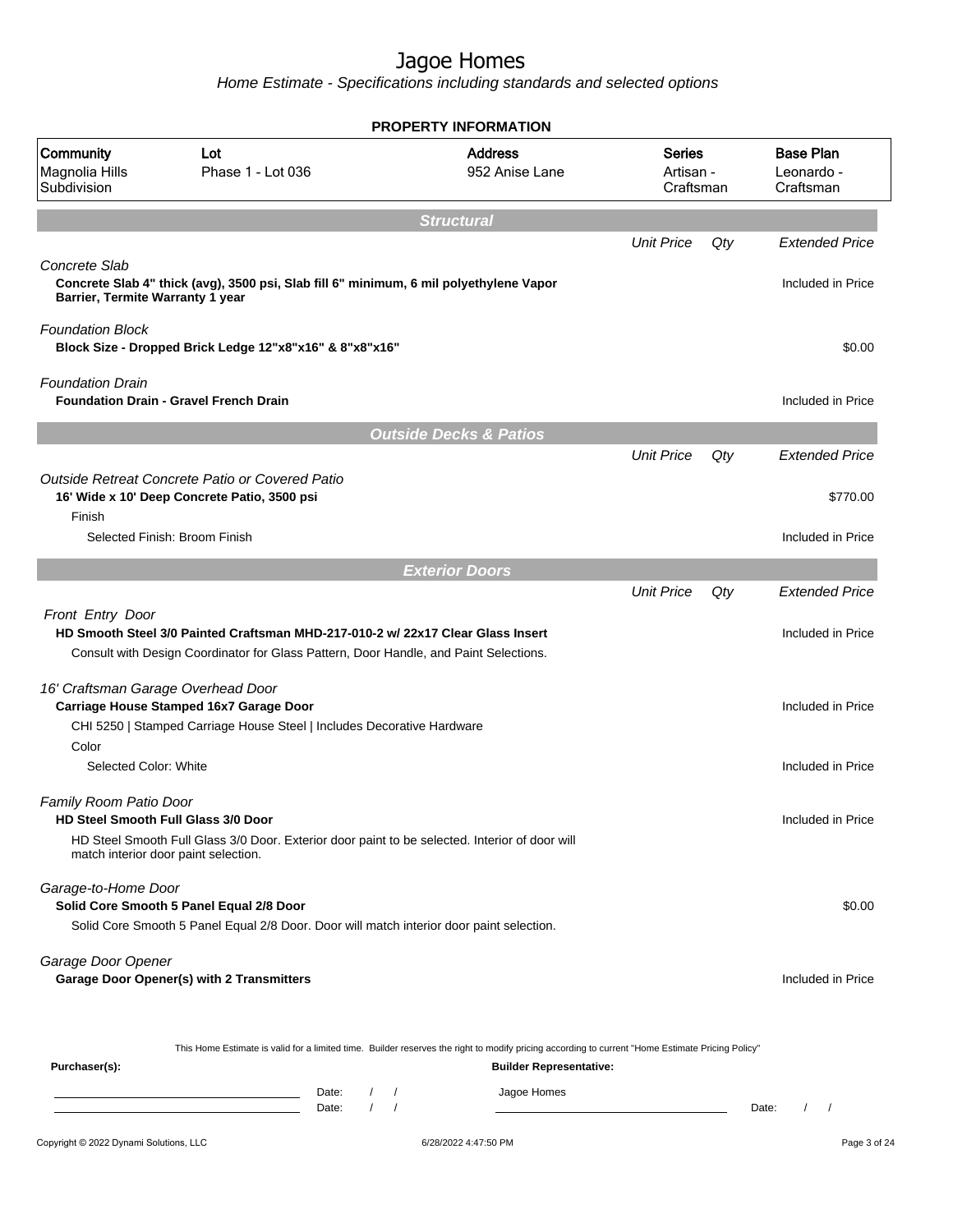Home Estimate - Specifications including standards and selected options

|                                                                                                       |                                                                                                                                                                          | <b>PROPERTY INFORMATION</b>                                                                                                                                                                       |                                         |     |                                             |
|-------------------------------------------------------------------------------------------------------|--------------------------------------------------------------------------------------------------------------------------------------------------------------------------|---------------------------------------------------------------------------------------------------------------------------------------------------------------------------------------------------|-----------------------------------------|-----|---------------------------------------------|
| Community<br>Magnolia Hills<br>Subdivision                                                            | Lot<br>Phase 1 - Lot 036                                                                                                                                                 | <b>Address</b><br>952 Anise Lane                                                                                                                                                                  | <b>Series</b><br>Artisan -<br>Craftsman |     | <b>Base Plan</b><br>Leonardo -<br>Craftsman |
|                                                                                                       |                                                                                                                                                                          | <b>Structural</b>                                                                                                                                                                                 |                                         |     |                                             |
| Concrete Slab<br>Barrier, Termite Warranty 1 year                                                     | Concrete Slab 4" thick (avg), 3500 psi, Slab fill 6" minimum, 6 mil polyethylene Vapor                                                                                   |                                                                                                                                                                                                   | <b>Unit Price</b>                       | Qty | <b>Extended Price</b><br>Included in Price  |
| <b>Foundation Block</b>                                                                               | Block Size - Dropped Brick Ledge 12"x8"x16" & 8"x8"x16"                                                                                                                  |                                                                                                                                                                                                   |                                         |     | \$0.00                                      |
| <b>Foundation Drain</b>                                                                               | <b>Foundation Drain - Gravel French Drain</b>                                                                                                                            |                                                                                                                                                                                                   |                                         |     | Included in Price                           |
|                                                                                                       |                                                                                                                                                                          | <b>Outside Decks &amp; Patios</b>                                                                                                                                                                 |                                         |     |                                             |
|                                                                                                       | Outside Retreat Concrete Patio or Covered Patio<br>16' Wide x 10' Deep Concrete Patio, 3500 psi                                                                          |                                                                                                                                                                                                   | <b>Unit Price</b>                       | Qty | <b>Extended Price</b><br>\$770.00           |
| Finish                                                                                                | Selected Finish: Broom Finish                                                                                                                                            |                                                                                                                                                                                                   |                                         |     | Included in Price                           |
|                                                                                                       |                                                                                                                                                                          |                                                                                                                                                                                                   |                                         |     |                                             |
|                                                                                                       |                                                                                                                                                                          | <b>Exterior Doors</b>                                                                                                                                                                             | <b>Unit Price</b>                       | Qty | <b>Extended Price</b>                       |
| Front Entry Door                                                                                      | HD Smooth Steel 3/0 Painted Craftsman MHD-217-010-2 w/ 22x17 Clear Glass Insert<br>Consult with Design Coordinator for Glass Pattern, Door Handle, and Paint Selections. |                                                                                                                                                                                                   |                                         |     | Included in Price                           |
| 16' Craftsman Garage Overhead Door                                                                    | Carriage House Stamped 16x7 Garage Door<br>CHI 5250   Stamped Carriage House Steel   Includes Decorative Hardware                                                        |                                                                                                                                                                                                   |                                         |     | Included in Price                           |
| Color<br>Selected Color: White                                                                        |                                                                                                                                                                          |                                                                                                                                                                                                   |                                         |     | Included in Price                           |
| Family Room Patio Door<br>HD Steel Smooth Full Glass 3/0 Door<br>match interior door paint selection. | HD Steel Smooth Full Glass 3/0 Door. Exterior door paint to be selected. Interior of door will                                                                           |                                                                                                                                                                                                   |                                         |     | Included in Price                           |
| Garage-to-Home Door                                                                                   | Solid Core Smooth 5 Panel Equal 2/8 Door<br>Solid Core Smooth 5 Panel Equal 2/8 Door. Door will match interior door paint selection.                                     |                                                                                                                                                                                                   |                                         |     | \$0.00                                      |
| Garage Door Opener                                                                                    | <b>Garage Door Opener(s) with 2 Transmitters</b>                                                                                                                         |                                                                                                                                                                                                   |                                         |     | Included in Price                           |
| Purchaser(s):                                                                                         | D <sub>0</sub>                                                                                                                                                           | This Home Estimate is valid for a limited time. Builder reserves the right to modify pricing according to current "Home Estimate Pricing Policy"<br><b>Builder Representative:</b><br>logon Homon |                                         |     |                                             |

Copyright © 2022 Dynami Solutions, LLC <br>
G/28/2022 4:47:50 PM Page 3 of 24 Date: / / Jagoe Homes<br>Date: / / Jagoe Homes Date: / / **Date: / / 2006** Date: / / / Date: / / / Date: / / / 2006 Date: / / / 2006 Date: / / / 2006 Date: / / / 2006 Date: / / / 2007 Date: / / / 2007 Date: / / / 2007 Date: / / / 2007 Date: / / / 2007 Date: / / / 2007 D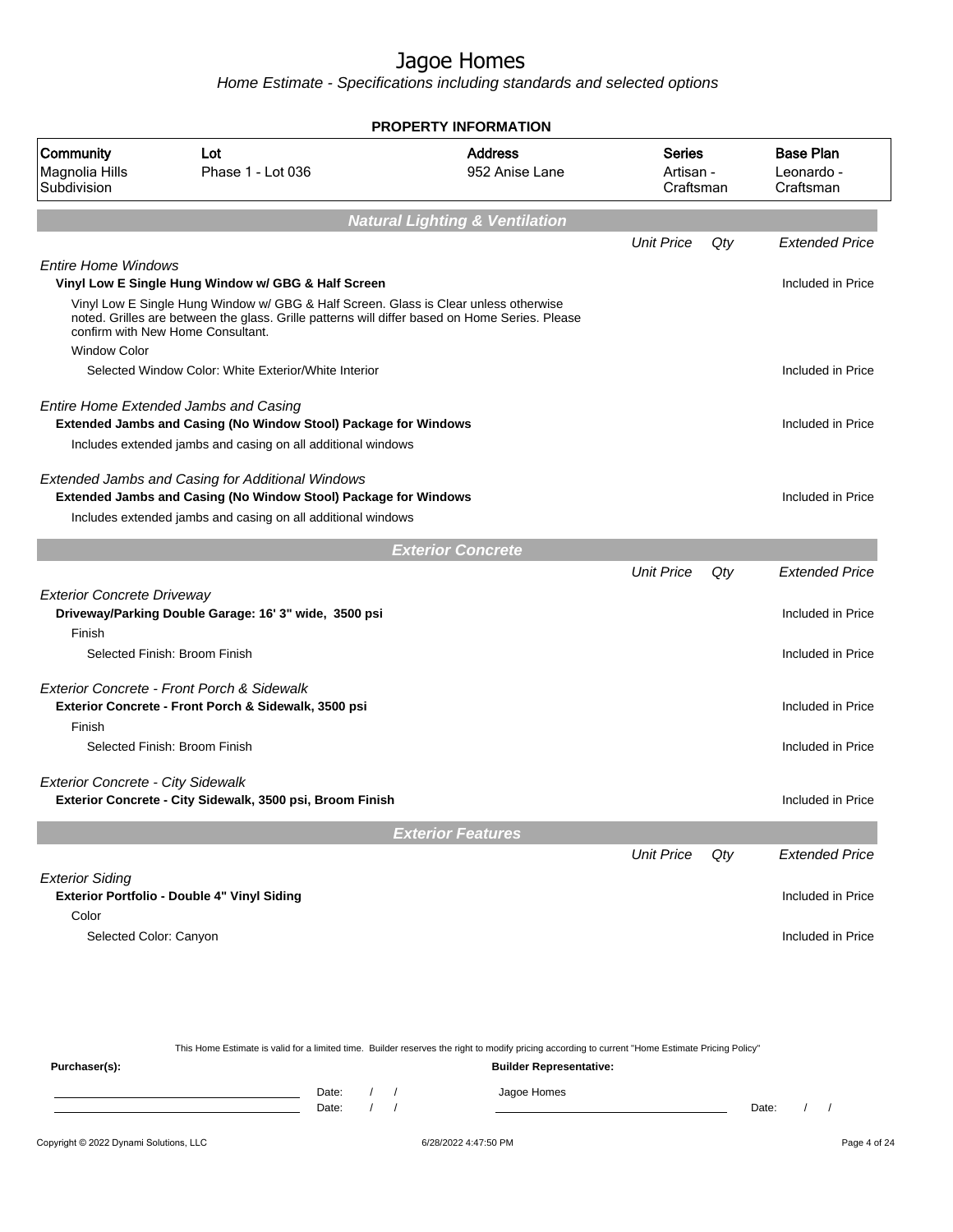Home Estimate - Specifications including standards and selected options

|                                            |                                                                                                                                                                                                                             | <b>PROPERTY INFORMATION</b>               |                                         |     |                                             |
|--------------------------------------------|-----------------------------------------------------------------------------------------------------------------------------------------------------------------------------------------------------------------------------|-------------------------------------------|-----------------------------------------|-----|---------------------------------------------|
| Community<br>Magnolia Hills<br>Subdivision | Lot<br>Phase 1 - Lot 036                                                                                                                                                                                                    | <b>Address</b><br>952 Anise Lane          | <b>Series</b><br>Artisan -<br>Craftsman |     | <b>Base Plan</b><br>Leonardo -<br>Craftsman |
|                                            |                                                                                                                                                                                                                             | <b>Natural Lighting &amp; Ventilation</b> |                                         |     |                                             |
|                                            |                                                                                                                                                                                                                             |                                           | <b>Unit Price</b>                       | Qty | <b>Extended Price</b>                       |
| <b>Entire Home Windows</b>                 | Vinyl Low E Single Hung Window w/ GBG & Half Screen                                                                                                                                                                         |                                           |                                         |     | Included in Price                           |
|                                            | Vinyl Low E Single Hung Window w/ GBG & Half Screen. Glass is Clear unless otherwise<br>noted. Grilles are between the glass. Grille patterns will differ based on Home Series. Please<br>confirm with New Home Consultant. |                                           |                                         |     |                                             |
| <b>Window Color</b>                        |                                                                                                                                                                                                                             |                                           |                                         |     |                                             |
|                                            | Selected Window Color: White Exterior/White Interior                                                                                                                                                                        |                                           |                                         |     | Included in Price                           |
|                                            | Entire Home Extended Jambs and Casing<br>Extended Jambs and Casing (No Window Stool) Package for Windows                                                                                                                    |                                           |                                         |     | Included in Price                           |
|                                            | Includes extended jambs and casing on all additional windows                                                                                                                                                                |                                           |                                         |     |                                             |
|                                            | <b>Extended Jambs and Casing for Additional Windows</b><br><b>Extended Jambs and Casing (No Window Stool) Package for Windows</b>                                                                                           |                                           |                                         |     | Included in Price                           |
|                                            | Includes extended jambs and casing on all additional windows                                                                                                                                                                |                                           |                                         |     |                                             |
|                                            |                                                                                                                                                                                                                             |                                           |                                         |     |                                             |
|                                            |                                                                                                                                                                                                                             | <b>Exterior Concrete</b>                  | <b>Unit Price</b>                       | Qty | <b>Extended Price</b>                       |
| <b>Exterior Concrete Driveway</b>          | Driveway/Parking Double Garage: 16' 3" wide, 3500 psi                                                                                                                                                                       |                                           |                                         |     | Included in Price                           |
| Finish                                     |                                                                                                                                                                                                                             |                                           |                                         |     |                                             |
|                                            | Selected Finish: Broom Finish                                                                                                                                                                                               |                                           |                                         |     | Included in Price                           |
|                                            | Exterior Concrete - Front Porch & Sidewalk                                                                                                                                                                                  |                                           |                                         |     |                                             |
|                                            | Exterior Concrete - Front Porch & Sidewalk, 3500 psi                                                                                                                                                                        |                                           |                                         |     | Included in Price                           |
| Finish                                     |                                                                                                                                                                                                                             |                                           |                                         |     |                                             |
|                                            | Selected Finish: Broom Finish                                                                                                                                                                                               |                                           |                                         |     | Included in Price                           |
| <b>Exterior Concrete - City Sidewalk</b>   | Exterior Concrete - City Sidewalk, 3500 psi, Broom Finish                                                                                                                                                                   |                                           |                                         |     | Included in Price                           |
|                                            |                                                                                                                                                                                                                             | <b>Exterior Features</b>                  |                                         |     |                                             |
|                                            |                                                                                                                                                                                                                             |                                           | <b>Unit Price</b>                       | Qty | <b>Extended Price</b>                       |
| <b>Exterior Siding</b>                     |                                                                                                                                                                                                                             |                                           |                                         |     |                                             |
|                                            | Exterior Portfolio - Double 4" Vinyl Siding                                                                                                                                                                                 |                                           |                                         |     | Included in Price                           |
| Color                                      |                                                                                                                                                                                                                             |                                           |                                         |     |                                             |
| Selected Color: Canyon                     |                                                                                                                                                                                                                             |                                           |                                         |     | Included in Price                           |
|                                            |                                                                                                                                                                                                                             |                                           |                                         |     |                                             |
|                                            |                                                                                                                                                                                                                             |                                           |                                         |     |                                             |

This Home Estimate is valid for a limited time. Builder reserves the right to modify pricing according to current "Home Estimate Pricing Policy" **Purchaser(s): Builder Representative:** Date: / / Jagoe Homes<br>Date: / / Jagoe Homes Date: / / **Date: / / 2006** Date: / / **Date: / / / 2006** Date: / / / 2006 Date: / / / 2006 Date: / / / 2006 Date: / / / 2007 Date: / / / 2007 Date: / / / 2008 Date: / / / 2008 Date: / / / 2008 Date: / / / 2008 Date: / / / 2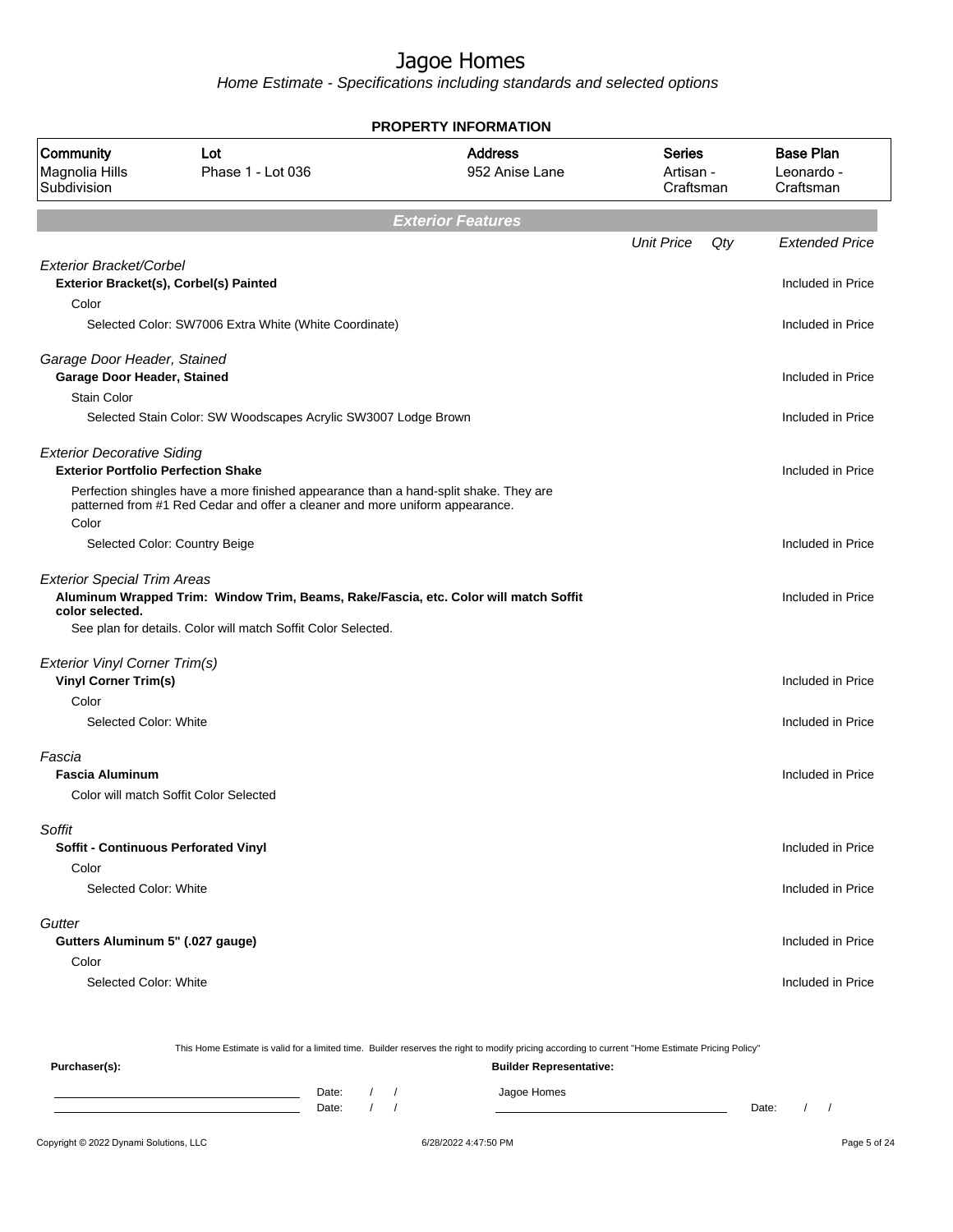Home Estimate - Specifications including standards and selected options

|                                                                                 |                                                                                                                                                                       | <b>PROPERTY INFORMATION</b>      |                                         |                                             |
|---------------------------------------------------------------------------------|-----------------------------------------------------------------------------------------------------------------------------------------------------------------------|----------------------------------|-----------------------------------------|---------------------------------------------|
| Community<br>Magnolia Hills<br>Subdivision                                      | Lot<br>Phase 1 - Lot 036                                                                                                                                              | <b>Address</b><br>952 Anise Lane | <b>Series</b><br>Artisan -<br>Craftsman | <b>Base Plan</b><br>Leonardo -<br>Craftsman |
|                                                                                 |                                                                                                                                                                       | <b>Exterior Features</b>         |                                         |                                             |
|                                                                                 |                                                                                                                                                                       |                                  | <b>Unit Price</b><br>Qty                | <b>Extended Price</b>                       |
| Exterior Bracket/Corbel<br>Color                                                | Exterior Bracket(s), Corbel(s) Painted                                                                                                                                |                                  |                                         | Included in Price                           |
|                                                                                 | Selected Color: SW7006 Extra White (White Coordinate)                                                                                                                 |                                  |                                         | Included in Price                           |
| Garage Door Header, Stained<br>Garage Door Header, Stained                      |                                                                                                                                                                       |                                  |                                         | Included in Price                           |
| <b>Stain Color</b>                                                              |                                                                                                                                                                       |                                  |                                         |                                             |
|                                                                                 | Selected Stain Color: SW Woodscapes Acrylic SW3007 Lodge Brown                                                                                                        |                                  |                                         | Included in Price                           |
| <b>Exterior Decorative Siding</b><br><b>Exterior Portfolio Perfection Shake</b> |                                                                                                                                                                       |                                  |                                         | Included in Price                           |
| Color                                                                           | Perfection shingles have a more finished appearance than a hand-split shake. They are<br>patterned from #1 Red Cedar and offer a cleaner and more uniform appearance. |                                  |                                         |                                             |
|                                                                                 | Selected Color: Country Beige                                                                                                                                         |                                  |                                         | Included in Price                           |
| <b>Exterior Special Trim Areas</b><br>color selected.                           | Aluminum Wrapped Trim: Window Trim, Beams, Rake/Fascia, etc. Color will match Soffit<br>See plan for details. Color will match Soffit Color Selected.                 |                                  |                                         | Included in Price                           |
| <b>Exterior Vinyl Corner Trim(s)</b>                                            |                                                                                                                                                                       |                                  |                                         |                                             |
| <b>Vinyl Corner Trim(s)</b>                                                     |                                                                                                                                                                       |                                  |                                         | Included in Price                           |
| Color                                                                           |                                                                                                                                                                       |                                  |                                         |                                             |
| Selected Color: White                                                           |                                                                                                                                                                       |                                  |                                         | Included in Price                           |
| Fascia<br><b>Fascia Aluminum</b>                                                |                                                                                                                                                                       |                                  |                                         | Included in Price                           |
|                                                                                 | Color will match Soffit Color Selected                                                                                                                                |                                  |                                         |                                             |
| Soffit<br><b>Soffit - Continuous Perforated Vinyl</b>                           |                                                                                                                                                                       |                                  |                                         | Included in Price                           |
| Color                                                                           |                                                                                                                                                                       |                                  |                                         |                                             |
| Selected Color: White                                                           |                                                                                                                                                                       |                                  |                                         | Included in Price                           |
| Gutter                                                                          |                                                                                                                                                                       |                                  |                                         |                                             |
| Gutters Aluminum 5" (.027 gauge)                                                |                                                                                                                                                                       |                                  |                                         | Included in Price                           |
| Color                                                                           |                                                                                                                                                                       |                                  |                                         |                                             |
| Selected Color: White                                                           |                                                                                                                                                                       |                                  |                                         | Included in Price                           |
|                                                                                 |                                                                                                                                                                       |                                  |                                         |                                             |

Copyright © 2022 Dynami Solutions, LLC 6/28/2022 4:47:50 PM Page 5 of 24 This Home Estimate is valid for a limited time. Builder reserves the right to modify pricing according to current "Home Estimate Pricing Policy" **Purchaser(s): Builder Representative:** Date: / / Jagoe Homes<br>Date: / / Jagoe Homes Date: / / **Date: / / 2006** Date: / / / Date: / / / Date: / / / 2006 Date: / / / 2006 Date: / / / 2006 Date: / / / 2006 Date: / / / 2007 Date: / / / 2007 Date: / / / 2007 Date: / / / 2007 Date: / / / 2007 Date: / / / 2007 D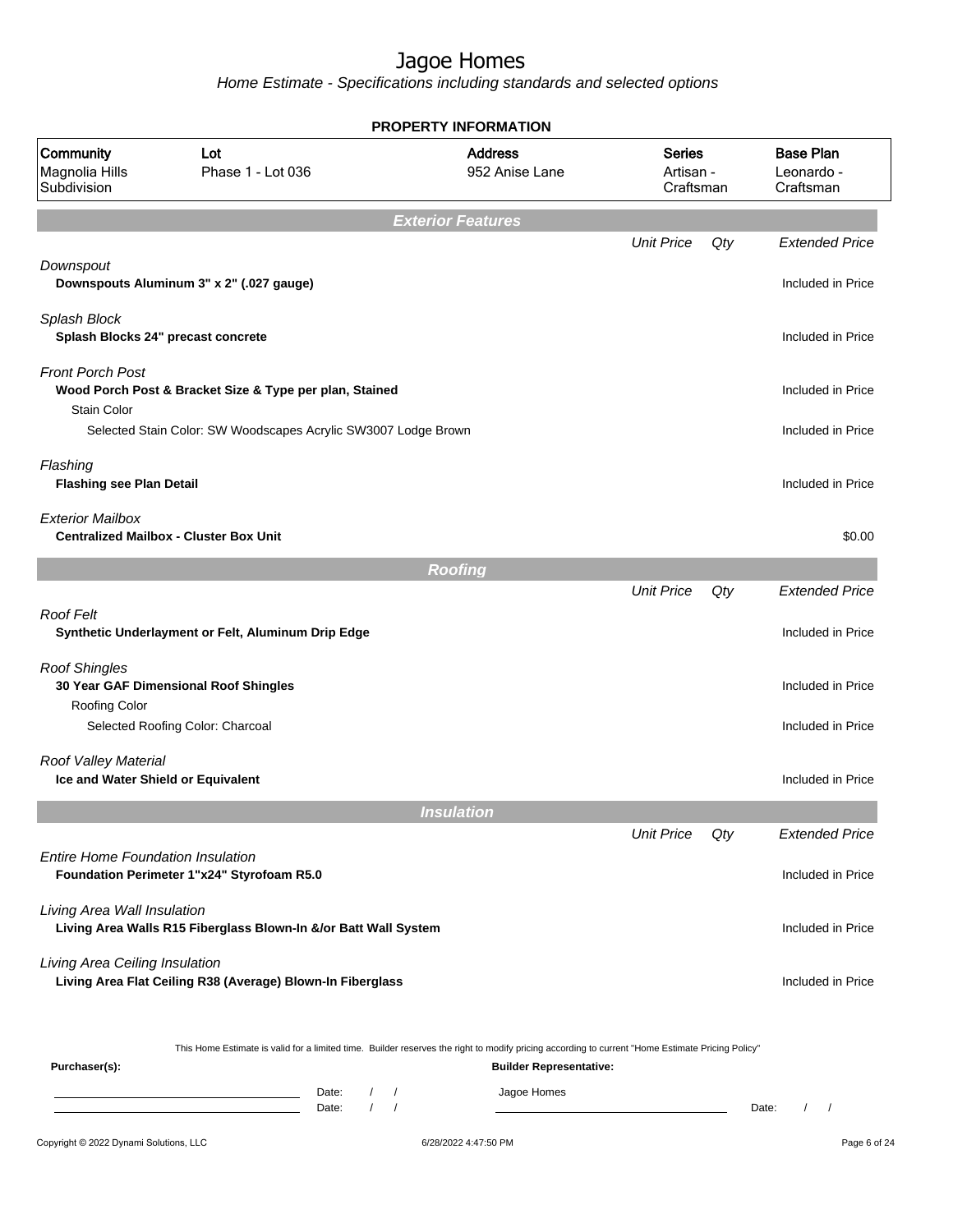|                                                            |                                                                                                                                                  | <b>PROPERTY INFORMATION</b>      |                                         |     |                                               |
|------------------------------------------------------------|--------------------------------------------------------------------------------------------------------------------------------------------------|----------------------------------|-----------------------------------------|-----|-----------------------------------------------|
| Community<br>Magnolia Hills<br>Subdivision                 | Lot<br>Phase 1 - Lot 036                                                                                                                         | <b>Address</b><br>952 Anise Lane | <b>Series</b><br>Artisan -<br>Craftsman |     | <b>Base Plan</b><br>Leonardo -<br>Craftsman   |
|                                                            |                                                                                                                                                  | <b>Exterior Features</b>         |                                         |     |                                               |
|                                                            |                                                                                                                                                  |                                  | <b>Unit Price</b>                       | Qty | <b>Extended Price</b>                         |
| Downspout                                                  | Downspouts Aluminum 3" x 2" (.027 gauge)                                                                                                         |                                  |                                         |     | Included in Price                             |
| Splash Block<br>Splash Blocks 24" precast concrete         |                                                                                                                                                  |                                  |                                         |     | Included in Price                             |
| Front Porch Post                                           | Wood Porch Post & Bracket Size & Type per plan, Stained                                                                                          |                                  |                                         |     | Included in Price                             |
| <b>Stain Color</b>                                         | Selected Stain Color: SW Woodscapes Acrylic SW3007 Lodge Brown                                                                                   |                                  |                                         |     | Included in Price                             |
| Flashing<br><b>Flashing see Plan Detail</b>                |                                                                                                                                                  |                                  |                                         |     | Included in Price                             |
| <b>Exterior Mailbox</b>                                    | <b>Centralized Mailbox - Cluster Box Unit</b>                                                                                                    |                                  |                                         |     | \$0.00                                        |
|                                                            |                                                                                                                                                  | <b>Roofing</b>                   |                                         |     |                                               |
|                                                            |                                                                                                                                                  |                                  | <b>Unit Price</b>                       | Qty | <b>Extended Price</b>                         |
| <b>Roof Felt</b>                                           | Synthetic Underlayment or Felt, Aluminum Drip Edge                                                                                               |                                  |                                         |     | Included in Price                             |
| <b>Roof Shingles</b><br>Roofing Color                      | 30 Year GAF Dimensional Roof Shingles                                                                                                            |                                  |                                         |     | Included in Price                             |
|                                                            | Selected Roofing Color: Charcoal                                                                                                                 |                                  |                                         |     | Included in Price                             |
| Roof Valley Material<br>Ice and Water Shield or Equivalent |                                                                                                                                                  |                                  |                                         |     | Included in Price                             |
|                                                            |                                                                                                                                                  | <b>Insulation</b>                |                                         |     |                                               |
|                                                            |                                                                                                                                                  |                                  | <b>Unit Price</b>                       | Qty | <b>Extended Price</b>                         |
| <b>Entire Home Foundation Insulation</b>                   | Foundation Perimeter 1"x24" Styrofoam R5.0                                                                                                       |                                  |                                         |     | Included in Price                             |
| Living Area Wall Insulation                                | Living Area Walls R15 Fiberglass Blown-In &/or Batt Wall System                                                                                  |                                  |                                         |     | Included in Price                             |
| Living Area Ceiling Insulation                             | Living Area Flat Ceiling R38 (Average) Blown-In Fiberglass                                                                                       |                                  |                                         |     | Included in Price                             |
| Purchaser(s):                                              | This Home Estimate is valid for a limited time. Builder reserves the right to modify pricing according to current "Home Estimate Pricing Policy" | <b>Builder Representative:</b>   |                                         |     |                                               |
|                                                            | $\sqrt{2}$<br>Date:<br><u> 1989 - Johann Barn, amerikansk politiker (</u>                                                                        | Jagoe Homes<br>$\sqrt{2}$        |                                         |     |                                               |
|                                                            | $\sqrt{ }$<br>Date:                                                                                                                              | $\sqrt{ }$                       |                                         |     | Date:<br>$\prime$<br>$\overline{\phantom{a}}$ |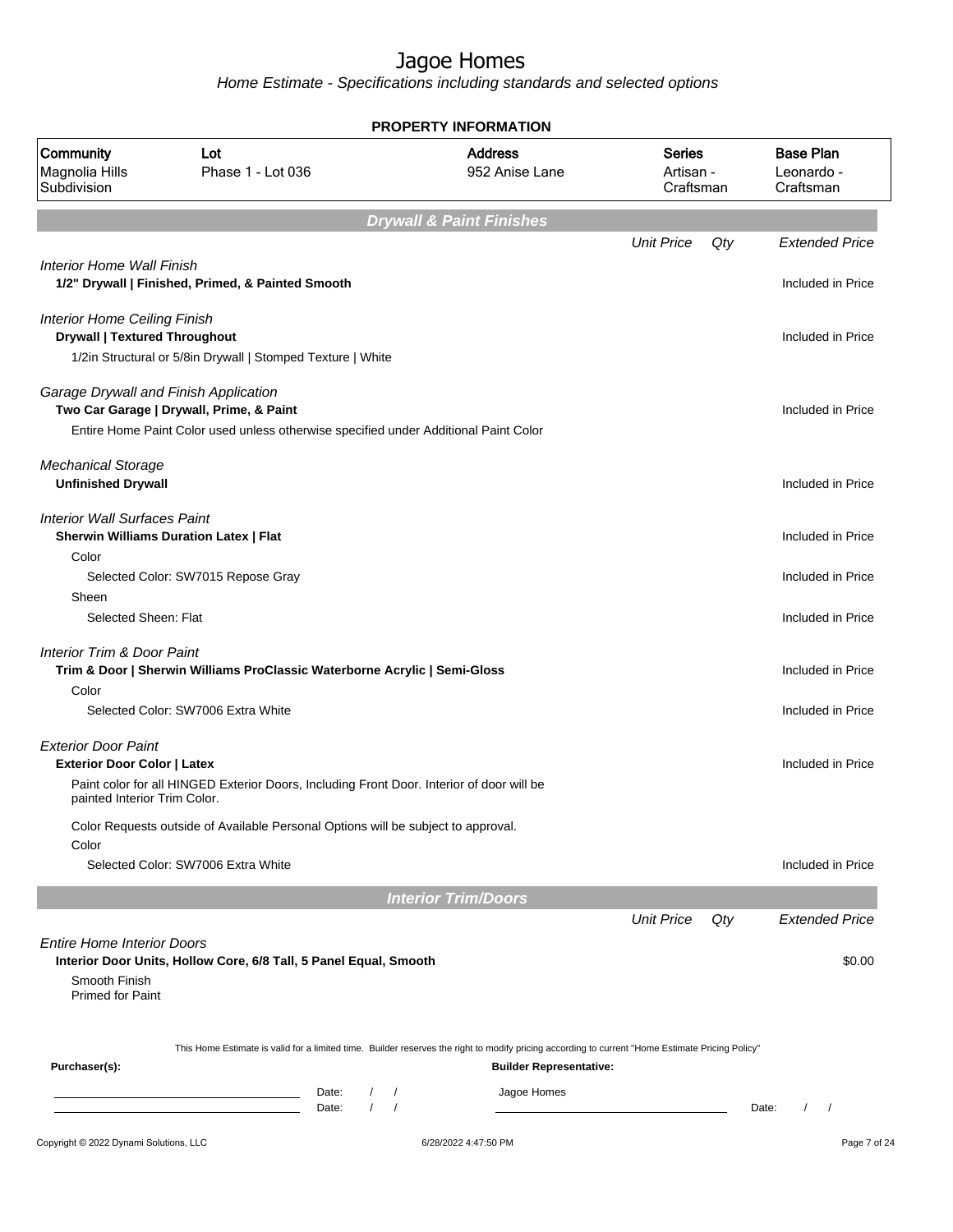|                                                        |                                                                                                                                                  |                        | <b>PROPERTY INFORMATION</b>         |                                         |     |                                             |
|--------------------------------------------------------|--------------------------------------------------------------------------------------------------------------------------------------------------|------------------------|-------------------------------------|-----------------------------------------|-----|---------------------------------------------|
| Community<br>Magnolia Hills<br>Subdivision             | Lot<br>Phase 1 - Lot 036                                                                                                                         |                        | <b>Address</b><br>952 Anise Lane    | <b>Series</b><br>Artisan -<br>Craftsman |     | <b>Base Plan</b><br>Leonardo -<br>Craftsman |
|                                                        |                                                                                                                                                  |                        | <b>Drywall &amp; Paint Finishes</b> |                                         |     |                                             |
|                                                        |                                                                                                                                                  |                        |                                     | <b>Unit Price</b>                       | Qty | <b>Extended Price</b>                       |
| Interior Home Wall Finish                              | 1/2" Drywall   Finished, Primed, & Painted Smooth                                                                                                |                        |                                     |                                         |     | Included in Price                           |
| <b>Interior Home Ceiling Finish</b>                    |                                                                                                                                                  |                        |                                     |                                         |     |                                             |
| <b>Drywall   Textured Throughout</b>                   | 1/2in Structural or 5/8in Drywall   Stomped Texture   White                                                                                      |                        |                                     |                                         |     | Included in Price                           |
|                                                        |                                                                                                                                                  |                        |                                     |                                         |     |                                             |
| Garage Drywall and Finish Application                  | Two Car Garage   Drywall, Prime, & Paint                                                                                                         |                        |                                     |                                         |     | Included in Price                           |
|                                                        | Entire Home Paint Color used unless otherwise specified under Additional Paint Color                                                             |                        |                                     |                                         |     |                                             |
| <b>Mechanical Storage</b><br><b>Unfinished Drywall</b> |                                                                                                                                                  |                        |                                     |                                         |     | Included in Price                           |
| <b>Interior Wall Surfaces Paint</b>                    | <b>Sherwin Williams Duration Latex   Flat</b>                                                                                                    |                        |                                     |                                         |     | Included in Price                           |
| Color                                                  |                                                                                                                                                  |                        |                                     |                                         |     |                                             |
|                                                        | Selected Color: SW7015 Repose Gray                                                                                                               |                        |                                     |                                         |     | Included in Price                           |
| Sheen<br>Selected Sheen: Flat                          |                                                                                                                                                  |                        |                                     |                                         |     | Included in Price                           |
| <b>Interior Trim &amp; Door Paint</b>                  | Trim & Door   Sherwin Williams ProClassic Waterborne Acrylic   Semi-Gloss                                                                        |                        |                                     |                                         |     | Included in Price                           |
| Color                                                  |                                                                                                                                                  |                        |                                     |                                         |     |                                             |
|                                                        | Selected Color: SW7006 Extra White                                                                                                               |                        |                                     |                                         |     | Included in Price                           |
| <b>Exterior Door Paint</b>                             |                                                                                                                                                  |                        |                                     |                                         |     |                                             |
| <b>Exterior Door Color   Latex</b>                     |                                                                                                                                                  |                        |                                     |                                         |     | Included in Price                           |
| painted Interior Trim Color.                           | Paint color for all HINGED Exterior Doors, Including Front Door. Interior of door will be                                                        |                        |                                     |                                         |     |                                             |
|                                                        | Color Requests outside of Available Personal Options will be subject to approval.                                                                |                        |                                     |                                         |     |                                             |
| Color                                                  | Selected Color: SW7006 Extra White                                                                                                               |                        |                                     |                                         |     | Included in Price                           |
|                                                        |                                                                                                                                                  |                        |                                     |                                         |     |                                             |
|                                                        |                                                                                                                                                  |                        | <b>Interior Trim/Doors</b>          |                                         |     |                                             |
|                                                        |                                                                                                                                                  |                        |                                     | <b>Unit Price</b>                       | Qty | <b>Extended Price</b>                       |
| <b>Entire Home Interior Doors</b><br>Smooth Finish     | Interior Door Units, Hollow Core, 6/8 Tall, 5 Panel Equal, Smooth                                                                                |                        |                                     |                                         |     | \$0.00                                      |
| Primed for Paint                                       |                                                                                                                                                  |                        |                                     |                                         |     |                                             |
|                                                        | This Home Estimate is valid for a limited time. Builder reserves the right to modify pricing according to current "Home Estimate Pricing Policy" |                        |                                     |                                         |     |                                             |
| Purchaser(s):                                          |                                                                                                                                                  |                        | <b>Builder Representative:</b>      |                                         |     |                                             |
|                                                        | Date:                                                                                                                                            | $\prime$               | Jagoe Homes                         |                                         |     |                                             |
|                                                        | Date:                                                                                                                                            | $\prime$<br>$\sqrt{ }$ |                                     |                                         |     | Date:<br>$\prime$                           |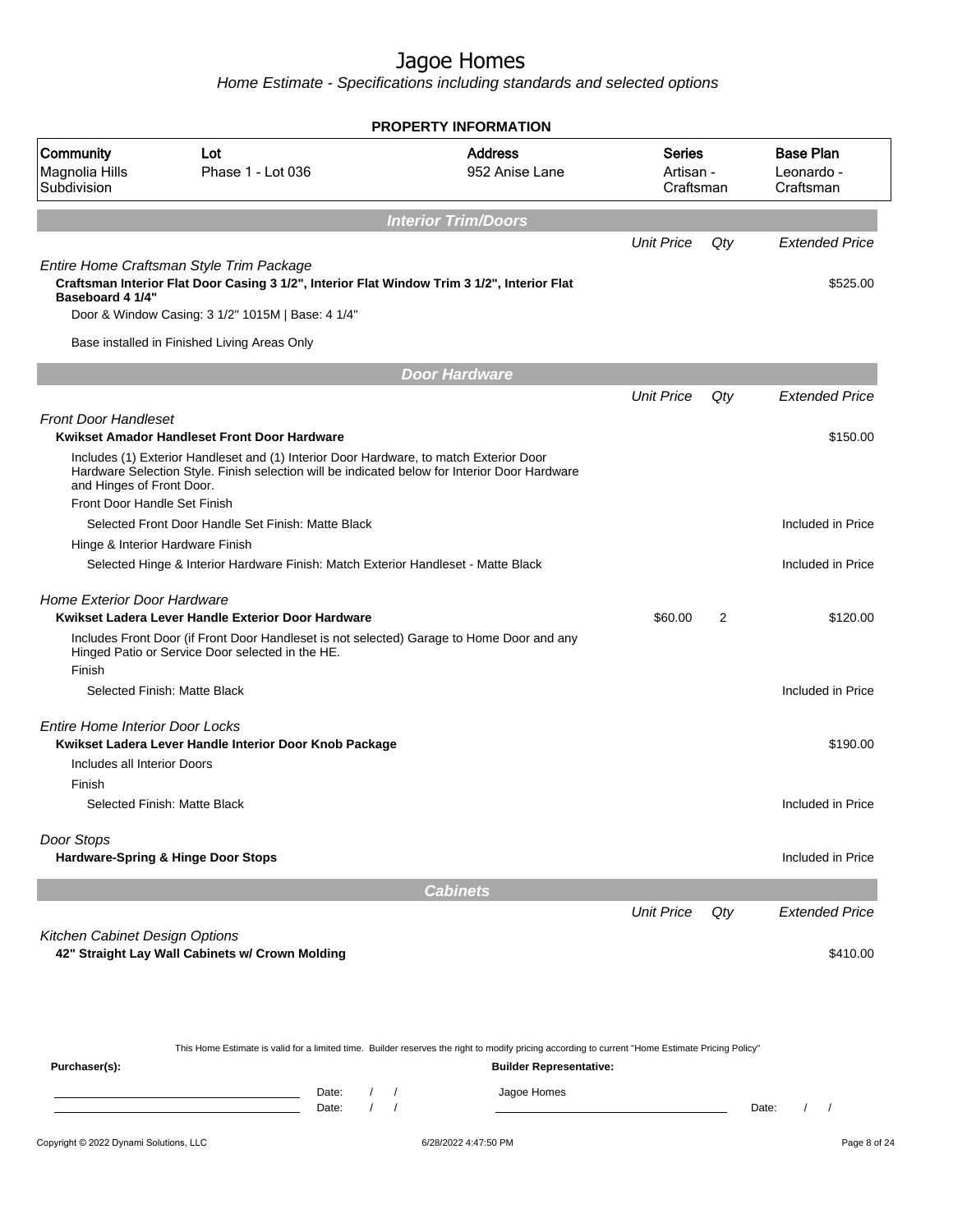|                                            |                                                                                                                                                                                         | <b>PROPERTY INFORMATION</b>      |                                         |                |                                             |
|--------------------------------------------|-----------------------------------------------------------------------------------------------------------------------------------------------------------------------------------------|----------------------------------|-----------------------------------------|----------------|---------------------------------------------|
| Community<br>Magnolia Hills<br>Subdivision | Lot<br>Phase 1 - Lot 036                                                                                                                                                                | <b>Address</b><br>952 Anise Lane | <b>Series</b><br>Artisan -<br>Craftsman |                | <b>Base Plan</b><br>Leonardo -<br>Craftsman |
|                                            |                                                                                                                                                                                         | <b>Interior Trim/Doors</b>       |                                         |                |                                             |
|                                            |                                                                                                                                                                                         |                                  | <b>Unit Price</b>                       | Qty            | <b>Extended Price</b>                       |
| Baseboard 4 1/4"                           | Entire Home Craftsman Style Trim Package<br>Craftsman Interior Flat Door Casing 3 1/2", Interior Flat Window Trim 3 1/2", Interior Flat                                                 |                                  |                                         |                | \$525.00                                    |
|                                            | Door & Window Casing: 3 1/2" 1015M   Base: 4 1/4"                                                                                                                                       |                                  |                                         |                |                                             |
|                                            | Base installed in Finished Living Areas Only                                                                                                                                            |                                  |                                         |                |                                             |
|                                            |                                                                                                                                                                                         | <b>Door Hardware</b>             |                                         |                |                                             |
|                                            |                                                                                                                                                                                         |                                  | <b>Unit Price</b>                       | Qty            | <b>Extended Price</b>                       |
| <b>Front Door Handleset</b>                |                                                                                                                                                                                         |                                  |                                         |                |                                             |
|                                            | Kwikset Amador Handleset Front Door Hardware                                                                                                                                            |                                  |                                         |                | \$150.00                                    |
| and Hinges of Front Door.                  | Includes (1) Exterior Handleset and (1) Interior Door Hardware, to match Exterior Door<br>Hardware Selection Style. Finish selection will be indicated below for Interior Door Hardware |                                  |                                         |                |                                             |
| Front Door Handle Set Finish               |                                                                                                                                                                                         |                                  |                                         |                |                                             |
|                                            | Selected Front Door Handle Set Finish: Matte Black                                                                                                                                      |                                  |                                         |                | Included in Price                           |
| Hinge & Interior Hardware Finish           |                                                                                                                                                                                         |                                  |                                         |                |                                             |
|                                            | Selected Hinge & Interior Hardware Finish: Match Exterior Handleset - Matte Black                                                                                                       |                                  |                                         |                | Included in Price                           |
| Home Exterior Door Hardware                |                                                                                                                                                                                         |                                  |                                         |                |                                             |
|                                            | Kwikset Ladera Lever Handle Exterior Door Hardware                                                                                                                                      |                                  | \$60.00                                 | $\overline{2}$ | \$120.00                                    |
|                                            | Includes Front Door (if Front Door Handleset is not selected) Garage to Home Door and any<br>Hinged Patio or Service Door selected in the HE.                                           |                                  |                                         |                |                                             |
| Finish                                     |                                                                                                                                                                                         |                                  |                                         |                |                                             |
|                                            | Selected Finish: Matte Black                                                                                                                                                            |                                  |                                         |                | Included in Price                           |
| <b>Entire Home Interior Door Locks</b>     |                                                                                                                                                                                         |                                  |                                         |                |                                             |
|                                            | Kwikset Ladera Lever Handle Interior Door Knob Package                                                                                                                                  |                                  |                                         |                | \$190.00                                    |
| Includes all Interior Doors                |                                                                                                                                                                                         |                                  |                                         |                |                                             |
| Finish                                     |                                                                                                                                                                                         |                                  |                                         |                |                                             |
|                                            | Selected Finish: Matte Black                                                                                                                                                            |                                  |                                         |                | Included in Price                           |
| Door Stops                                 |                                                                                                                                                                                         |                                  |                                         |                |                                             |
|                                            | Hardware-Spring & Hinge Door Stops                                                                                                                                                      |                                  |                                         |                | Included in Price                           |
|                                            |                                                                                                                                                                                         | <b>Cabinets</b>                  |                                         |                |                                             |
|                                            |                                                                                                                                                                                         |                                  | <b>Unit Price</b>                       | Qty            | <b>Extended Price</b>                       |
| Kitchen Cabinet Design Options             | 42" Straight Lay Wall Cabinets w/ Crown Molding                                                                                                                                         |                                  |                                         |                | \$410.00                                    |
|                                            |                                                                                                                                                                                         |                                  |                                         |                |                                             |

| This Home Estimate is valid for a limited time. Builder reserves the right to modify pricing according to current "Home Estimate Pricing Policy" |                                |  |  |             |       |  |  |  |
|--------------------------------------------------------------------------------------------------------------------------------------------------|--------------------------------|--|--|-------------|-------|--|--|--|
| Purchaser(s):                                                                                                                                    | <b>Builder Representative:</b> |  |  |             |       |  |  |  |
|                                                                                                                                                  | Date:                          |  |  | Jagoe Homes |       |  |  |  |
|                                                                                                                                                  | Date:                          |  |  |             | Date: |  |  |  |
|                                                                                                                                                  |                                |  |  |             |       |  |  |  |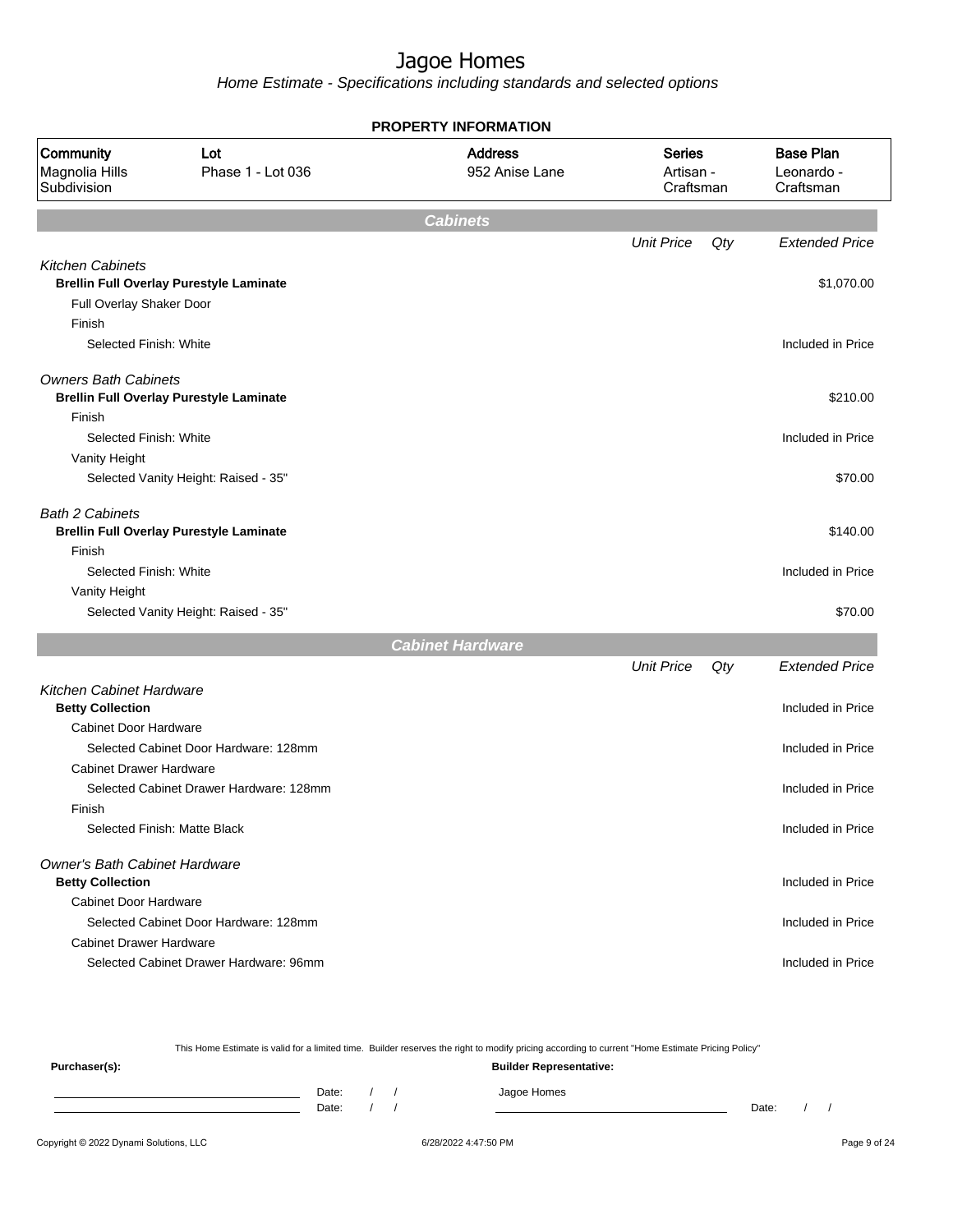Home Estimate - Specifications including standards and selected options

| <b>PROPERTY INFORMATION</b>                      |                                                |                                  |                                         |     |                                             |  |  |
|--------------------------------------------------|------------------------------------------------|----------------------------------|-----------------------------------------|-----|---------------------------------------------|--|--|
| Community<br>Magnolia Hills<br>Subdivision       | Lot<br>Phase 1 - Lot 036                       | <b>Address</b><br>952 Anise Lane | <b>Series</b><br>Artisan -<br>Craftsman |     | <b>Base Plan</b><br>Leonardo -<br>Craftsman |  |  |
|                                                  |                                                | <b>Cabinets</b>                  |                                         |     |                                             |  |  |
|                                                  |                                                |                                  | <b>Unit Price</b>                       | Qty | <b>Extended Price</b>                       |  |  |
| <b>Kitchen Cabinets</b>                          |                                                |                                  |                                         |     |                                             |  |  |
|                                                  | <b>Brellin Full Overlay Purestyle Laminate</b> |                                  |                                         |     | \$1,070.00                                  |  |  |
| Full Overlay Shaker Door                         |                                                |                                  |                                         |     |                                             |  |  |
| Finish                                           |                                                |                                  |                                         |     |                                             |  |  |
| Selected Finish: White                           |                                                |                                  |                                         |     | Included in Price                           |  |  |
| <b>Owners Bath Cabinets</b>                      |                                                |                                  |                                         |     |                                             |  |  |
|                                                  | <b>Brellin Full Overlay Purestyle Laminate</b> |                                  |                                         |     | \$210.00                                    |  |  |
| Finish                                           |                                                |                                  |                                         |     |                                             |  |  |
| Selected Finish: White                           |                                                |                                  |                                         |     | Included in Price                           |  |  |
| Vanity Height                                    |                                                |                                  |                                         |     |                                             |  |  |
|                                                  | Selected Vanity Height: Raised - 35"           |                                  |                                         |     | \$70.00                                     |  |  |
| <b>Bath 2 Cabinets</b>                           |                                                |                                  |                                         |     |                                             |  |  |
|                                                  | <b>Brellin Full Overlay Purestyle Laminate</b> |                                  |                                         |     | \$140.00                                    |  |  |
| Finish                                           |                                                |                                  |                                         |     |                                             |  |  |
| Selected Finish: White                           |                                                |                                  |                                         |     | Included in Price                           |  |  |
| Vanity Height                                    |                                                |                                  |                                         |     |                                             |  |  |
|                                                  | Selected Vanity Height: Raised - 35"           |                                  |                                         |     | \$70.00                                     |  |  |
|                                                  |                                                | <b>Cabinet Hardware</b>          |                                         |     |                                             |  |  |
|                                                  |                                                |                                  | <b>Unit Price</b>                       | Qty | <b>Extended Price</b>                       |  |  |
| <b>Kitchen Cabinet Hardware</b>                  |                                                |                                  |                                         |     | Included in Price                           |  |  |
| <b>Betty Collection</b><br>Cabinet Door Hardware |                                                |                                  |                                         |     |                                             |  |  |
|                                                  | Selected Cabinet Door Hardware: 128mm          |                                  |                                         |     | Included in Price                           |  |  |
| <b>Cabinet Drawer Hardware</b>                   |                                                |                                  |                                         |     |                                             |  |  |
|                                                  | Selected Cabinet Drawer Hardware: 128mm        |                                  |                                         |     | Included in Price                           |  |  |
| Finish                                           |                                                |                                  |                                         |     |                                             |  |  |
|                                                  | Selected Finish: Matte Black                   |                                  |                                         |     | Included in Price                           |  |  |
|                                                  |                                                |                                  |                                         |     |                                             |  |  |
| Owner's Bath Cabinet Hardware                    |                                                |                                  |                                         |     |                                             |  |  |
| <b>Betty Collection</b>                          |                                                |                                  |                                         |     | Included in Price                           |  |  |
| Cabinet Door Hardware                            |                                                |                                  |                                         |     |                                             |  |  |
|                                                  | Selected Cabinet Door Hardware: 128mm          |                                  |                                         |     | Included in Price                           |  |  |
| <b>Cabinet Drawer Hardware</b>                   |                                                |                                  |                                         |     |                                             |  |  |
|                                                  | Selected Cabinet Drawer Hardware: 96mm         |                                  |                                         |     | Included in Price                           |  |  |
|                                                  |                                                |                                  |                                         |     |                                             |  |  |

This Home Estimate is valid for a limited time. Builder reserves the right to modify pricing according to current "Home Estimate Pricing Policy" **Purchaser(s): Builder Representative:** Date: / / Jagoe Homes<br>Date: / / Jagoe Homes Date: / / **Date: / / 2006** Date: / / **Date: / / / 2006** Date: / / / 2006 Date: / / / 2006 Date: / / / 2006 Date: / / / 2007 Date: / / / 2007 Date: / / / 2008 Date: / / / 2008 Date: / / / 2008 Date: / / / 2008 Date: / / / 2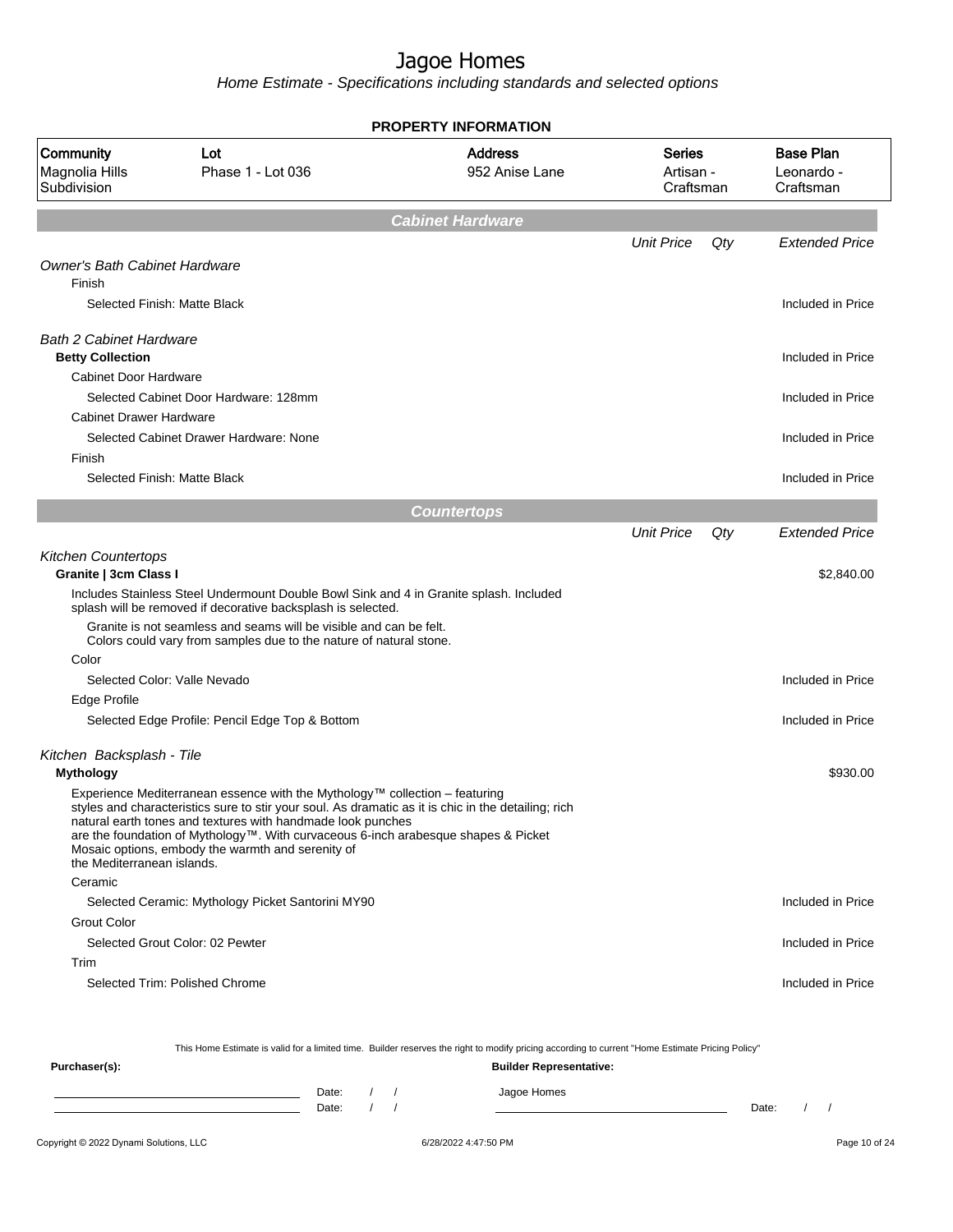Home Estimate - Specifications including standards and selected options

| <b>PROPERTY INFORMATION</b>                               |                                                                                                                                                                                                                                                                                                                                                                                              |                                  |                                  |     |                                             |  |  |
|-----------------------------------------------------------|----------------------------------------------------------------------------------------------------------------------------------------------------------------------------------------------------------------------------------------------------------------------------------------------------------------------------------------------------------------------------------------------|----------------------------------|----------------------------------|-----|---------------------------------------------|--|--|
| Community<br>Magnolia Hills<br>Subdivision                | Lot<br>Phase 1 - Lot 036                                                                                                                                                                                                                                                                                                                                                                     | <b>Address</b><br>952 Anise Lane | Series<br>Artisan -<br>Craftsman |     | <b>Base Plan</b><br>Leonardo -<br>Craftsman |  |  |
|                                                           |                                                                                                                                                                                                                                                                                                                                                                                              | <b>Cabinet Hardware</b>          |                                  |     |                                             |  |  |
|                                                           |                                                                                                                                                                                                                                                                                                                                                                                              |                                  | <b>Unit Price</b>                | Qty | <b>Extended Price</b>                       |  |  |
| <b>Owner's Bath Cabinet Hardware</b><br>Finish            |                                                                                                                                                                                                                                                                                                                                                                                              |                                  |                                  |     |                                             |  |  |
| Selected Finish: Matte Black                              |                                                                                                                                                                                                                                                                                                                                                                                              |                                  |                                  |     | Included in Price                           |  |  |
| <b>Bath 2 Cabinet Hardware</b><br><b>Betty Collection</b> |                                                                                                                                                                                                                                                                                                                                                                                              |                                  |                                  |     | Included in Price                           |  |  |
| Cabinet Door Hardware                                     |                                                                                                                                                                                                                                                                                                                                                                                              |                                  |                                  |     |                                             |  |  |
|                                                           | Selected Cabinet Door Hardware: 128mm                                                                                                                                                                                                                                                                                                                                                        |                                  |                                  |     | Included in Price                           |  |  |
| <b>Cabinet Drawer Hardware</b>                            |                                                                                                                                                                                                                                                                                                                                                                                              |                                  |                                  |     |                                             |  |  |
|                                                           | Selected Cabinet Drawer Hardware: None                                                                                                                                                                                                                                                                                                                                                       |                                  |                                  |     | Included in Price                           |  |  |
| Finish                                                    |                                                                                                                                                                                                                                                                                                                                                                                              |                                  |                                  |     |                                             |  |  |
| Selected Finish: Matte Black                              |                                                                                                                                                                                                                                                                                                                                                                                              |                                  |                                  |     | Included in Price                           |  |  |
|                                                           |                                                                                                                                                                                                                                                                                                                                                                                              |                                  |                                  |     |                                             |  |  |
|                                                           |                                                                                                                                                                                                                                                                                                                                                                                              | <b>Countertops</b>               | <b>Unit Price</b>                |     | <b>Extended Price</b>                       |  |  |
|                                                           |                                                                                                                                                                                                                                                                                                                                                                                              |                                  |                                  | Qty |                                             |  |  |
| <b>Kitchen Countertops</b><br>Granite   3cm Class I       |                                                                                                                                                                                                                                                                                                                                                                                              |                                  |                                  |     | \$2,840.00                                  |  |  |
|                                                           | Includes Stainless Steel Undermount Double Bowl Sink and 4 in Granite splash. Included<br>splash will be removed if decorative backsplash is selected.                                                                                                                                                                                                                                       |                                  |                                  |     |                                             |  |  |
|                                                           | Granite is not seamless and seams will be visible and can be felt.<br>Colors could vary from samples due to the nature of natural stone.                                                                                                                                                                                                                                                     |                                  |                                  |     |                                             |  |  |
| Color                                                     |                                                                                                                                                                                                                                                                                                                                                                                              |                                  |                                  |     |                                             |  |  |
|                                                           | Selected Color: Valle Nevado                                                                                                                                                                                                                                                                                                                                                                 |                                  |                                  |     | Included in Price                           |  |  |
| <b>Edge Profile</b>                                       |                                                                                                                                                                                                                                                                                                                                                                                              |                                  |                                  |     |                                             |  |  |
|                                                           | Selected Edge Profile: Pencil Edge Top & Bottom                                                                                                                                                                                                                                                                                                                                              |                                  |                                  |     | Included in Price                           |  |  |
| Kitchen Backsplash - Tile                                 |                                                                                                                                                                                                                                                                                                                                                                                              |                                  |                                  |     |                                             |  |  |
| <b>Mythology</b>                                          |                                                                                                                                                                                                                                                                                                                                                                                              |                                  |                                  |     | \$930.00                                    |  |  |
| the Mediterranean islands.                                | Experience Mediterranean essence with the Mythology™ collection - featuring<br>styles and characteristics sure to stir your soul. As dramatic as it is chic in the detailing; rich<br>natural earth tones and textures with handmade look punches<br>are the foundation of Mythology™. With curvaceous 6-inch arabesque shapes & Picket<br>Mosaic options, embody the warmth and serenity of |                                  |                                  |     |                                             |  |  |
| Ceramic                                                   |                                                                                                                                                                                                                                                                                                                                                                                              |                                  |                                  |     |                                             |  |  |
|                                                           | Selected Ceramic: Mythology Picket Santorini MY90                                                                                                                                                                                                                                                                                                                                            |                                  |                                  |     | Included in Price                           |  |  |
| <b>Grout Color</b>                                        |                                                                                                                                                                                                                                                                                                                                                                                              |                                  |                                  |     |                                             |  |  |
|                                                           | Selected Grout Color: 02 Pewter                                                                                                                                                                                                                                                                                                                                                              |                                  |                                  |     | Included in Price                           |  |  |
| Trim                                                      |                                                                                                                                                                                                                                                                                                                                                                                              |                                  |                                  |     |                                             |  |  |
|                                                           | Selected Trim: Polished Chrome                                                                                                                                                                                                                                                                                                                                                               |                                  |                                  |     | Included in Price                           |  |  |
|                                                           | This Home Estimate is valid for a limited time. Builder reserves the right to modify pricing according to current "Home Estimate Pricing Policy"                                                                                                                                                                                                                                             |                                  |                                  |     |                                             |  |  |

**Purchaser(s): Builder Representative:** Date: / / Jagoe Homes<br>Date: / / Jagoe Homes Date: / / Date: / /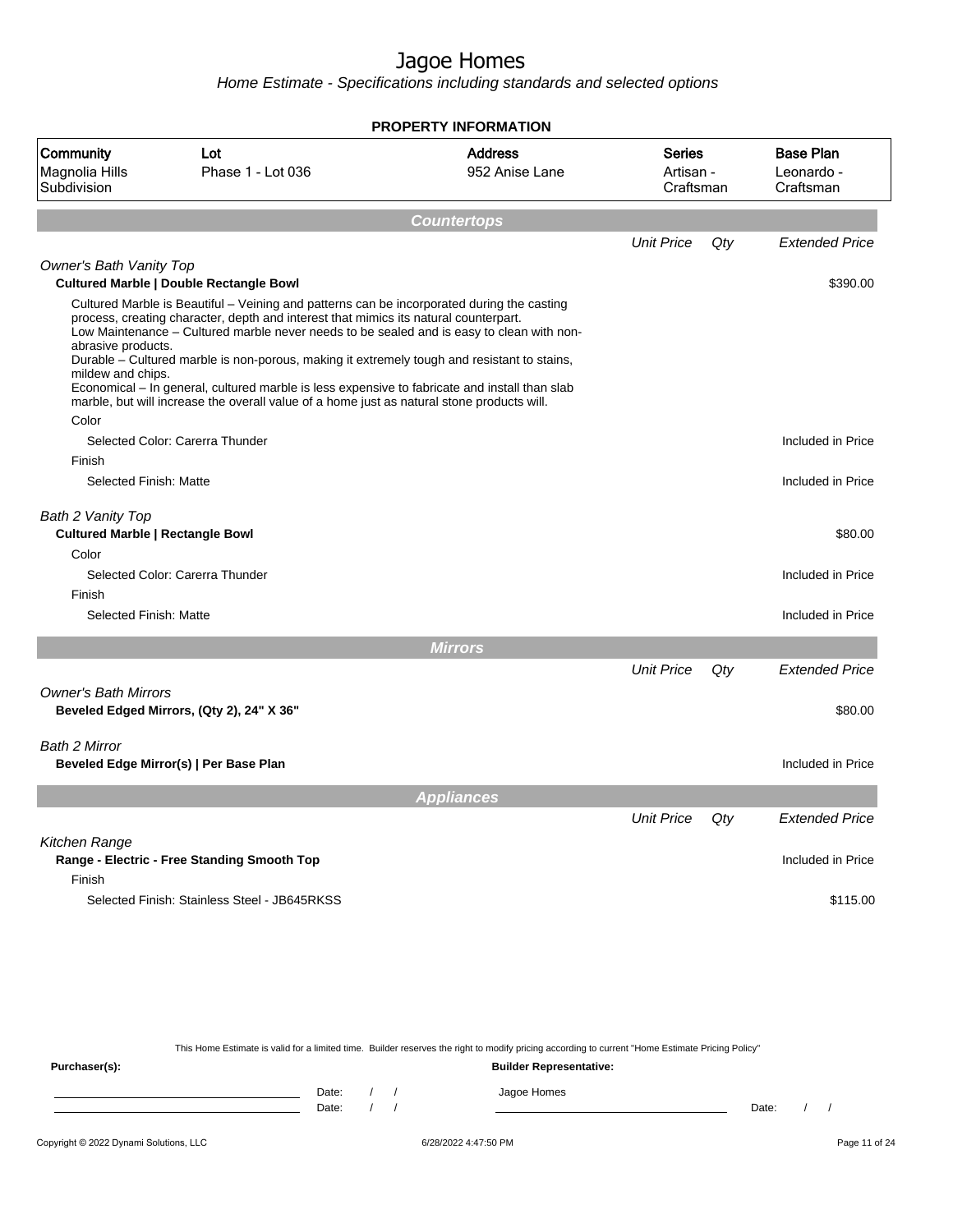Home Estimate - Specifications including standards and selected options

|                                                                       |                                                                                                                                                                                                                                                                                                                                                                                                                                                                                                                                                                               | <b>PROPERTY INFORMATION</b>      |                                         |     |                                             |
|-----------------------------------------------------------------------|-------------------------------------------------------------------------------------------------------------------------------------------------------------------------------------------------------------------------------------------------------------------------------------------------------------------------------------------------------------------------------------------------------------------------------------------------------------------------------------------------------------------------------------------------------------------------------|----------------------------------|-----------------------------------------|-----|---------------------------------------------|
| Community<br>Magnolia Hills<br>Subdivision                            | Lot<br>Phase 1 - Lot 036                                                                                                                                                                                                                                                                                                                                                                                                                                                                                                                                                      | <b>Address</b><br>952 Anise Lane | <b>Series</b><br>Artisan -<br>Craftsman |     | <b>Base Plan</b><br>Leonardo -<br>Craftsman |
|                                                                       |                                                                                                                                                                                                                                                                                                                                                                                                                                                                                                                                                                               | <b>Countertops</b>               |                                         |     |                                             |
|                                                                       |                                                                                                                                                                                                                                                                                                                                                                                                                                                                                                                                                                               |                                  | <b>Unit Price</b>                       | Qty | <b>Extended Price</b>                       |
| <b>Owner's Bath Vanity Top</b>                                        | <b>Cultured Marble   Double Rectangle Bowl</b>                                                                                                                                                                                                                                                                                                                                                                                                                                                                                                                                |                                  |                                         |     | \$390.00                                    |
| abrasive products.<br>mildew and chips.<br>Color                      | Cultured Marble is Beautiful – Veining and patterns can be incorporated during the casting<br>process, creating character, depth and interest that mimics its natural counterpart.<br>Low Maintenance - Cultured marble never needs to be sealed and is easy to clean with non-<br>Durable – Cultured marble is non-porous, making it extremely tough and resistant to stains,<br>Economical – In general, cultured marble is less expensive to fabricate and install than slab<br>marble, but will increase the overall value of a home just as natural stone products will. |                                  |                                         |     |                                             |
|                                                                       | Selected Color: Carerra Thunder                                                                                                                                                                                                                                                                                                                                                                                                                                                                                                                                               |                                  |                                         |     | Included in Price                           |
| Finish                                                                |                                                                                                                                                                                                                                                                                                                                                                                                                                                                                                                                                                               |                                  |                                         |     |                                             |
| Selected Finish: Matte                                                |                                                                                                                                                                                                                                                                                                                                                                                                                                                                                                                                                                               |                                  |                                         |     | Included in Price                           |
| Bath 2 Vanity Top<br><b>Cultured Marble   Rectangle Bowl</b><br>Color |                                                                                                                                                                                                                                                                                                                                                                                                                                                                                                                                                                               |                                  |                                         |     | \$80.00                                     |
|                                                                       | Selected Color: Carerra Thunder                                                                                                                                                                                                                                                                                                                                                                                                                                                                                                                                               |                                  |                                         |     | Included in Price                           |
| Finish                                                                |                                                                                                                                                                                                                                                                                                                                                                                                                                                                                                                                                                               |                                  |                                         |     |                                             |
| Selected Finish: Matte                                                |                                                                                                                                                                                                                                                                                                                                                                                                                                                                                                                                                                               |                                  |                                         |     | Included in Price                           |
|                                                                       |                                                                                                                                                                                                                                                                                                                                                                                                                                                                                                                                                                               | <b>Mirrors</b>                   |                                         |     |                                             |
|                                                                       |                                                                                                                                                                                                                                                                                                                                                                                                                                                                                                                                                                               |                                  | <b>Unit Price</b>                       | Qty | <b>Extended Price</b>                       |
| <b>Owner's Bath Mirrors</b>                                           | Beveled Edged Mirrors, (Qty 2), 24" X 36"                                                                                                                                                                                                                                                                                                                                                                                                                                                                                                                                     |                                  |                                         |     | \$80.00                                     |
| Bath 2 Mirror                                                         | Beveled Edge Mirror(s)   Per Base Plan                                                                                                                                                                                                                                                                                                                                                                                                                                                                                                                                        |                                  |                                         |     | Included in Price                           |
|                                                                       |                                                                                                                                                                                                                                                                                                                                                                                                                                                                                                                                                                               | <b>Appliances</b>                |                                         |     |                                             |
|                                                                       |                                                                                                                                                                                                                                                                                                                                                                                                                                                                                                                                                                               |                                  | <b>Unit Price</b>                       | Qty | <b>Extended Price</b>                       |
| Kitchen Range<br>Finish                                               | Range - Electric - Free Standing Smooth Top                                                                                                                                                                                                                                                                                                                                                                                                                                                                                                                                   |                                  |                                         |     | Included in Price                           |
|                                                                       | Selected Finish: Stainless Steel - JB645RKSS                                                                                                                                                                                                                                                                                                                                                                                                                                                                                                                                  |                                  |                                         |     | \$115.00                                    |

This Home Estimate is valid for a limited time. Builder reserves the right to modify pricing according to current "Home Estimate Pricing Policy"

**Purchaser(s): Builder Representative:** Date: / / Jagoe Homes<br>Date: / / Jagoe Homes Date: / / **Date: / / 2006** Date: / / / Date: / / / Date: / / / 2006 Date: / / / 2006 Date: / / / 2006 Date: / / / 2006 Date: / / / 2007 Date: / / / 2007 Date: / / / 2007 Date: / / / 2007 Date: / / / 2007 Date: / / / 2007 D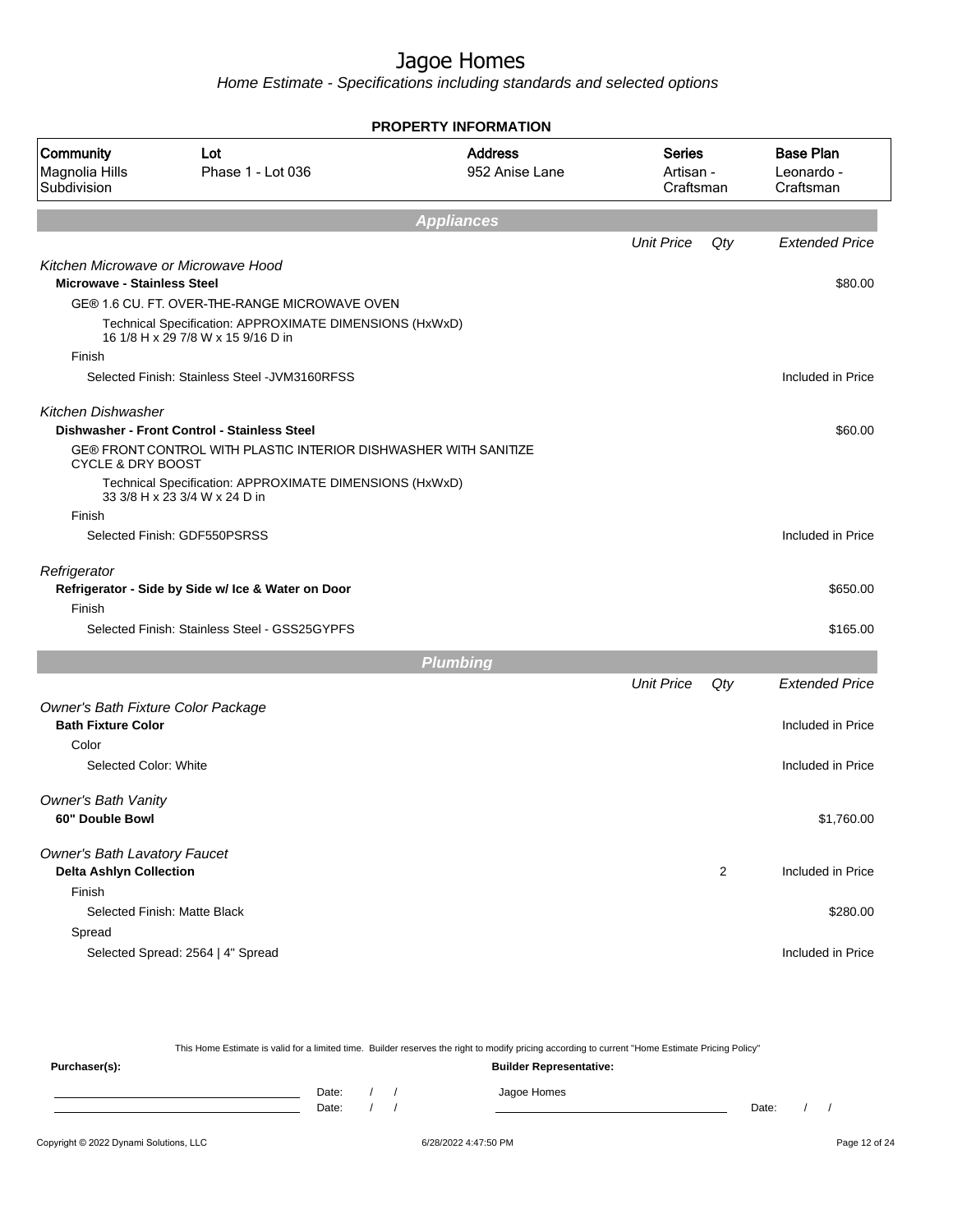Home Estimate - Specifications including standards and selected options

|                                            |                                                                                               | PROPERTY INFORMATION             |                                  |                |                                             |
|--------------------------------------------|-----------------------------------------------------------------------------------------------|----------------------------------|----------------------------------|----------------|---------------------------------------------|
| Community<br>Magnolia Hills<br>Subdivision | Lot<br>Phase 1 - Lot 036                                                                      | <b>Address</b><br>952 Anise Lane | Series<br>Artisan -<br>Craftsman |                | <b>Base Plan</b><br>Leonardo -<br>Craftsman |
|                                            |                                                                                               | <b>Appliances</b>                |                                  |                |                                             |
|                                            |                                                                                               |                                  | <b>Unit Price</b>                | Qty            | <b>Extended Price</b>                       |
| <b>Microwave - Stainless Steel</b>         | Kitchen Microwave or Microwave Hood                                                           |                                  |                                  |                | \$80.00                                     |
|                                            | GE® 1.6 CU. FT. OVER-THE-RANGE MICROWAVE OVEN                                                 |                                  |                                  |                |                                             |
|                                            | Technical Specification: APPROXIMATE DIMENSIONS (HxWxD)<br>16 1/8 H x 29 7/8 W x 15 9/16 D in |                                  |                                  |                |                                             |
| Finish                                     |                                                                                               |                                  |                                  |                |                                             |
|                                            | Selected Finish: Stainless Steel - JVM3160RFSS                                                |                                  |                                  |                | Included in Price                           |
| <b>Kitchen Dishwasher</b>                  |                                                                                               |                                  |                                  |                |                                             |
|                                            | Dishwasher - Front Control - Stainless Steel                                                  |                                  |                                  |                | \$60.00                                     |
| <b>CYCLE &amp; DRY BOOST</b>               | GE® FRONT CONTROL WITH PLASTIC INTERIOR DISHWASHER WITH SANITIZE                              |                                  |                                  |                |                                             |
|                                            | Technical Specification: APPROXIMATE DIMENSIONS (HxWxD)<br>33 3/8 H x 23 3/4 W x 24 D in      |                                  |                                  |                |                                             |
| Finish                                     |                                                                                               |                                  |                                  |                |                                             |
|                                            | Selected Finish: GDF550PSRSS                                                                  |                                  |                                  |                | Included in Price                           |
| Refrigerator                               |                                                                                               |                                  |                                  |                |                                             |
|                                            | Refrigerator - Side by Side w/ Ice & Water on Door                                            |                                  |                                  |                | \$650.00                                    |
| Finish                                     | Selected Finish: Stainless Steel - GSS25GYPFS                                                 |                                  |                                  |                | \$165.00                                    |
|                                            |                                                                                               | <b>Plumbing</b>                  |                                  |                |                                             |
|                                            |                                                                                               |                                  | <b>Unit Price</b>                | Qty            | <b>Extended Price</b>                       |
| Owner's Bath Fixture Color Package         |                                                                                               |                                  |                                  |                |                                             |
| <b>Bath Fixture Color</b>                  |                                                                                               |                                  |                                  |                | Included in Price                           |
| Color                                      |                                                                                               |                                  |                                  |                |                                             |
| Selected Color: White                      |                                                                                               |                                  |                                  |                | Included in Price                           |
| Owner's Bath Vanity                        |                                                                                               |                                  |                                  |                |                                             |
| 60" Double Bowl                            |                                                                                               |                                  |                                  |                | \$1,760.00                                  |
| <b>Owner's Bath Lavatory Faucet</b>        |                                                                                               |                                  |                                  |                |                                             |
| <b>Delta Ashlyn Collection</b><br>Finish   |                                                                                               |                                  |                                  | $\overline{2}$ | Included in Price                           |
|                                            | Selected Finish: Matte Black                                                                  |                                  |                                  |                | \$280.00                                    |
| Spread                                     |                                                                                               |                                  |                                  |                |                                             |
|                                            | Selected Spread: 2564   4" Spread                                                             |                                  |                                  |                | Included in Price                           |
|                                            |                                                                                               |                                  |                                  |                |                                             |

This Home Estimate is valid for a limited time. Builder reserves the right to modify pricing according to current "Home Estimate Pricing Policy" **Purchaser(s): Builder Representative:** Date: / / Jagoe Homes<br>Date: / / Jagoe Homes Date: / / **Date: / / 2006** Date: / / / Date: / / / Date: / / / 2006 Date: / / / 2006 Date: / / / 2006 Date: / / / 2006 Date: / / / 2007 Date: / / / 2007 Date: / / / 2007 Date: / / / 2007 Date: / / / 2007 Date: / / / 2007 D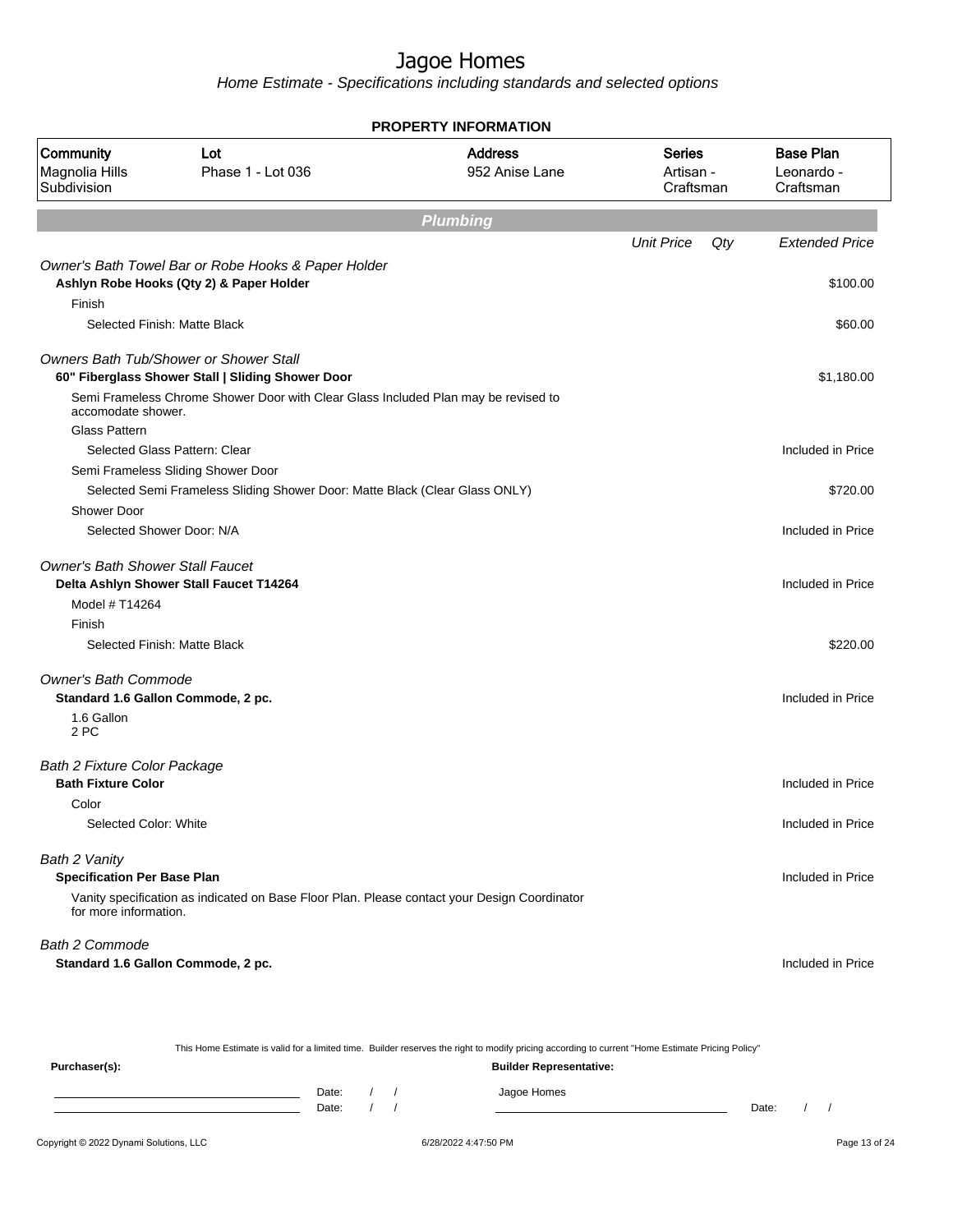Home Estimate - Specifications including standards and selected options

| <b>PROPERTY INFORMATION</b>                       |                                                                                                    |                                  |                                  |     |                                             |  |  |
|---------------------------------------------------|----------------------------------------------------------------------------------------------------|----------------------------------|----------------------------------|-----|---------------------------------------------|--|--|
| <b>Community</b><br>Magnolia Hills<br>Subdivision | Lot<br>Phase 1 - Lot 036                                                                           | <b>Address</b><br>952 Anise Lane | Series<br>Artisan -<br>Craftsman |     | <b>Base Plan</b><br>Leonardo -<br>Craftsman |  |  |
|                                                   |                                                                                                    | <b>Plumbing</b>                  |                                  |     |                                             |  |  |
|                                                   |                                                                                                    |                                  | <b>Unit Price</b>                | Qty | <b>Extended Price</b>                       |  |  |
|                                                   | Owner's Bath Towel Bar or Robe Hooks & Paper Holder                                                |                                  |                                  |     |                                             |  |  |
|                                                   | Ashlyn Robe Hooks (Qty 2) & Paper Holder                                                           |                                  |                                  |     | \$100.00                                    |  |  |
| Finish                                            |                                                                                                    |                                  |                                  |     |                                             |  |  |
|                                                   | Selected Finish: Matte Black                                                                       |                                  |                                  |     | \$60.00                                     |  |  |
|                                                   | <b>Owners Bath Tub/Shower or Shower Stall</b><br>60" Fiberglass Shower Stall   Sliding Shower Door |                                  |                                  |     | \$1,180.00                                  |  |  |
| accomodate shower.                                | Semi Frameless Chrome Shower Door with Clear Glass Included Plan may be revised to                 |                                  |                                  |     |                                             |  |  |
| <b>Glass Pattern</b>                              |                                                                                                    |                                  |                                  |     |                                             |  |  |
|                                                   | Selected Glass Pattern: Clear                                                                      |                                  |                                  |     | Included in Price                           |  |  |
|                                                   | Semi Frameless Sliding Shower Door                                                                 |                                  |                                  |     |                                             |  |  |
|                                                   | Selected Semi Frameless Sliding Shower Door: Matte Black (Clear Glass ONLY)                        |                                  |                                  |     | \$720.00                                    |  |  |
| Shower Door                                       |                                                                                                    |                                  |                                  |     |                                             |  |  |
| Selected Shower Door: N/A                         |                                                                                                    |                                  |                                  |     | Included in Price                           |  |  |
| <b>Owner's Bath Shower Stall Faucet</b>           | Delta Ashlyn Shower Stall Faucet T14264                                                            |                                  |                                  |     | Included in Price                           |  |  |
| Model # T14264                                    |                                                                                                    |                                  |                                  |     |                                             |  |  |
| Finish                                            |                                                                                                    |                                  |                                  |     |                                             |  |  |
|                                                   | Selected Finish: Matte Black                                                                       |                                  |                                  |     | \$220.00                                    |  |  |
| <b>Owner's Bath Commode</b>                       |                                                                                                    |                                  |                                  |     |                                             |  |  |
| Standard 1.6 Gallon Commode, 2 pc.                |                                                                                                    |                                  |                                  |     | Included in Price                           |  |  |
| 1.6 Gallon<br>2 PC                                |                                                                                                    |                                  |                                  |     |                                             |  |  |
| <b>Bath 2 Fixture Color Package</b>               |                                                                                                    |                                  |                                  |     |                                             |  |  |
| <b>Bath Fixture Color</b>                         |                                                                                                    |                                  |                                  |     | Included in Price                           |  |  |
| Color                                             |                                                                                                    |                                  |                                  |     |                                             |  |  |
| Selected Color: White                             |                                                                                                    |                                  |                                  |     | Included in Price                           |  |  |
| Bath 2 Vanity                                     |                                                                                                    |                                  |                                  |     |                                             |  |  |
| <b>Specification Per Base Plan</b>                |                                                                                                    |                                  |                                  |     | Included in Price                           |  |  |
| for more information.                             | Vanity specification as indicated on Base Floor Plan. Please contact your Design Coordinator       |                                  |                                  |     |                                             |  |  |
| Bath 2 Commode                                    |                                                                                                    |                                  |                                  |     |                                             |  |  |
| Standard 1.6 Gallon Commode, 2 pc.                |                                                                                                    |                                  |                                  |     | Included in Price                           |  |  |

This Home Estimate is valid for a limited time. Builder reserves the right to modify pricing according to current "Home Estimate Pricing Policy" **Purchaser(s): Builder Representative:**

Date: / / Jagoe Homes<br>Date: / / Jagoe Homes Date: / / Date: / /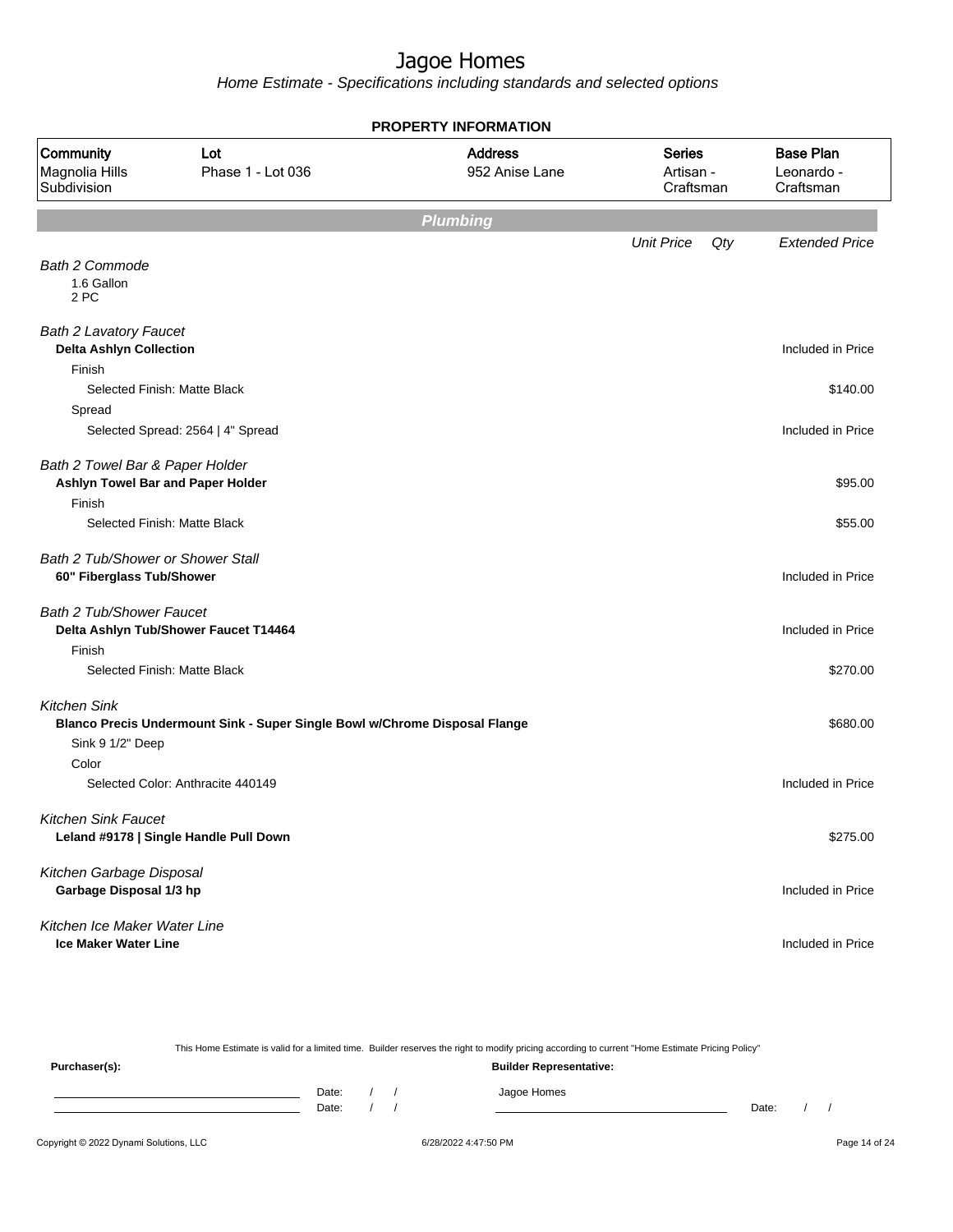| <b>PROPERTY INFORMATION</b>                                               |                                                                            |                                  |                                         |                                             |  |  |  |
|---------------------------------------------------------------------------|----------------------------------------------------------------------------|----------------------------------|-----------------------------------------|---------------------------------------------|--|--|--|
| Community<br>Magnolia Hills<br>Subdivision                                | Lot<br>Phase 1 - Lot 036                                                   | <b>Address</b><br>952 Anise Lane | <b>Series</b><br>Artisan -<br>Craftsman | <b>Base Plan</b><br>Leonardo -<br>Craftsman |  |  |  |
|                                                                           |                                                                            | <b>Plumbing</b>                  |                                         |                                             |  |  |  |
|                                                                           |                                                                            |                                  | <b>Unit Price</b><br>Qty                | <b>Extended Price</b>                       |  |  |  |
| <b>Bath 2 Commode</b><br>1.6 Gallon<br>2 PC                               |                                                                            |                                  |                                         |                                             |  |  |  |
| <b>Bath 2 Lavatory Faucet</b><br><b>Delta Ashlyn Collection</b><br>Finish |                                                                            |                                  |                                         | Included in Price                           |  |  |  |
|                                                                           | Selected Finish: Matte Black                                               |                                  |                                         | \$140.00                                    |  |  |  |
| Spread                                                                    |                                                                            |                                  |                                         |                                             |  |  |  |
|                                                                           | Selected Spread: 2564   4" Spread                                          |                                  |                                         | Included in Price                           |  |  |  |
| Bath 2 Towel Bar & Paper Holder<br>Ashlyn Towel Bar and Paper Holder      |                                                                            |                                  |                                         | \$95.00                                     |  |  |  |
| Finish                                                                    |                                                                            |                                  |                                         |                                             |  |  |  |
|                                                                           | Selected Finish: Matte Black                                               |                                  |                                         | \$55.00                                     |  |  |  |
| Bath 2 Tub/Shower or Shower Stall<br>60" Fiberglass Tub/Shower            |                                                                            |                                  |                                         | Included in Price                           |  |  |  |
| <b>Bath 2 Tub/Shower Faucet</b>                                           |                                                                            |                                  |                                         |                                             |  |  |  |
|                                                                           | Delta Ashlyn Tub/Shower Faucet T14464                                      |                                  |                                         | Included in Price                           |  |  |  |
| Finish                                                                    | Selected Finish: Matte Black                                               |                                  |                                         | \$270.00                                    |  |  |  |
|                                                                           |                                                                            |                                  |                                         |                                             |  |  |  |
| <b>Kitchen Sink</b>                                                       |                                                                            |                                  |                                         |                                             |  |  |  |
|                                                                           | Blanco Precis Undermount Sink - Super Single Bowl w/Chrome Disposal Flange |                                  |                                         | \$680.00                                    |  |  |  |
| Sink 9 1/2" Deep<br>Color                                                 |                                                                            |                                  |                                         |                                             |  |  |  |
|                                                                           | Selected Color: Anthracite 440149                                          |                                  |                                         | Included in Price                           |  |  |  |
| <b>Kitchen Sink Faucet</b>                                                |                                                                            |                                  |                                         |                                             |  |  |  |
|                                                                           | Leland #9178   Single Handle Pull Down                                     |                                  |                                         | \$275.00                                    |  |  |  |
|                                                                           |                                                                            |                                  |                                         |                                             |  |  |  |
| Kitchen Garbage Disposal                                                  |                                                                            |                                  |                                         |                                             |  |  |  |
| Garbage Disposal 1/3 hp                                                   |                                                                            |                                  |                                         | Included in Price                           |  |  |  |
| Kitchen Ice Maker Water Line                                              |                                                                            |                                  |                                         |                                             |  |  |  |
| <b>Ice Maker Water Line</b>                                               |                                                                            |                                  |                                         | Included in Price                           |  |  |  |

| This Home Estimate is valid for a limited time. Builder reserves the right to modify pricing according to current "Home Estimate Pricing Policy" |                                |  |  |             |       |  |  |
|--------------------------------------------------------------------------------------------------------------------------------------------------|--------------------------------|--|--|-------------|-------|--|--|
| Purchaser(s):                                                                                                                                    | <b>Builder Representative:</b> |  |  |             |       |  |  |
|                                                                                                                                                  | Date:                          |  |  | Jagoe Homes |       |  |  |
|                                                                                                                                                  | Date:                          |  |  |             | Date: |  |  |
|                                                                                                                                                  |                                |  |  |             |       |  |  |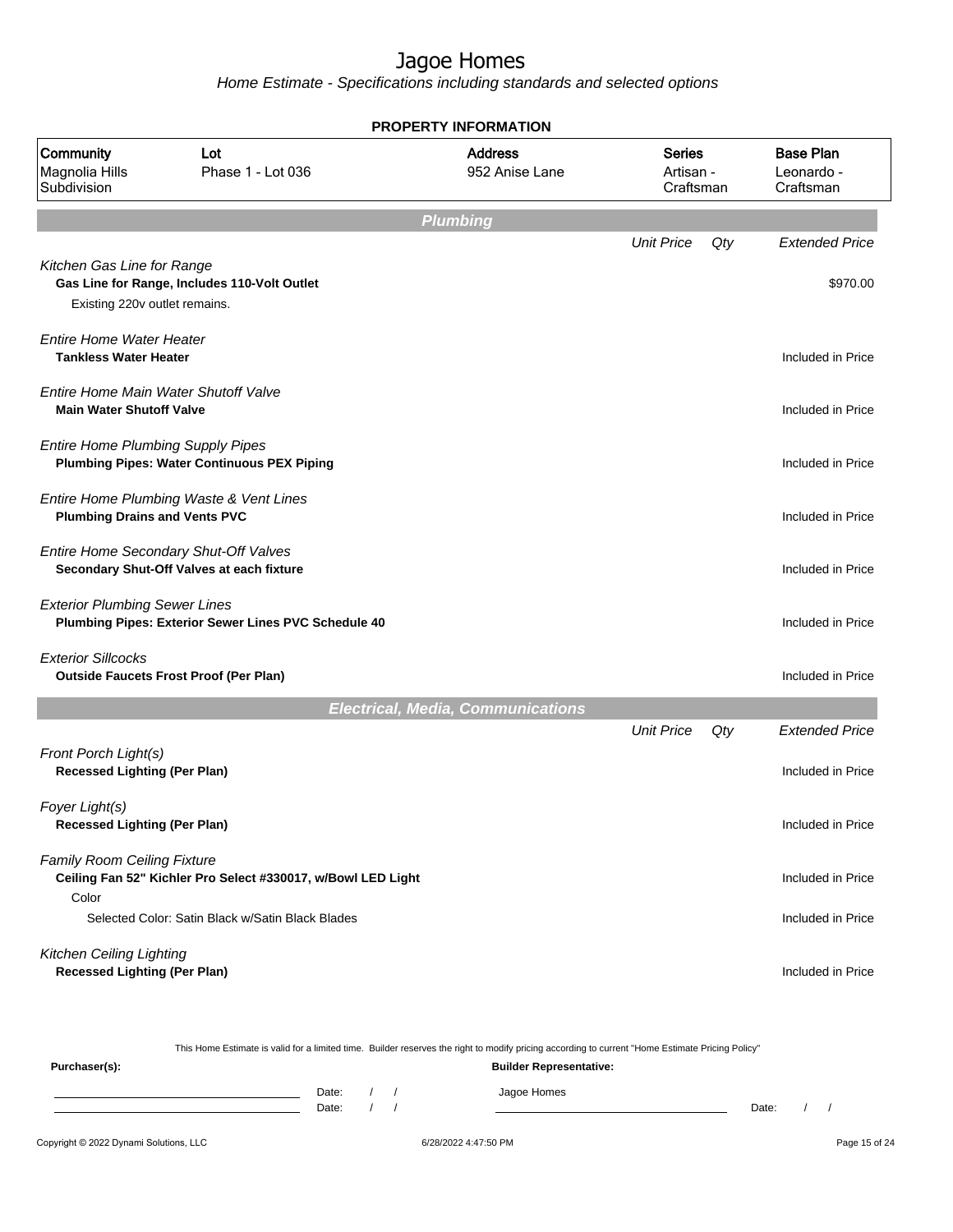Home Estimate - Specifications including standards and selected options

| <b>PROPERTY INFORMATION</b>                                             |                                                                                    |                                          |                                         |     |                                             |  |  |  |
|-------------------------------------------------------------------------|------------------------------------------------------------------------------------|------------------------------------------|-----------------------------------------|-----|---------------------------------------------|--|--|--|
| Community<br>Lot<br>Magnolia Hills<br>Phase 1 - Lot 036<br>Subdivision  |                                                                                    | <b>Address</b><br>952 Anise Lane         | <b>Series</b><br>Artisan -<br>Craftsman |     | <b>Base Plan</b><br>Leonardo -<br>Craftsman |  |  |  |
|                                                                         |                                                                                    | <b>Plumbing</b>                          |                                         |     |                                             |  |  |  |
|                                                                         |                                                                                    |                                          | <b>Unit Price</b>                       | Qty | <b>Extended Price</b>                       |  |  |  |
| Kitchen Gas Line for Range<br>Existing 220v outlet remains.             | Gas Line for Range, Includes 110-Volt Outlet                                       |                                          |                                         |     | \$970.00                                    |  |  |  |
| <b>Entire Home Water Heater</b><br><b>Tankless Water Heater</b>         |                                                                                    |                                          |                                         |     | Included in Price                           |  |  |  |
| Entire Home Main Water Shutoff Valve<br><b>Main Water Shutoff Valve</b> |                                                                                    |                                          |                                         |     | Included in Price                           |  |  |  |
| <b>Entire Home Plumbing Supply Pipes</b>                                | <b>Plumbing Pipes: Water Continuous PEX Piping</b>                                 |                                          |                                         |     | Included in Price                           |  |  |  |
| <b>Plumbing Drains and Vents PVC</b>                                    | Entire Home Plumbing Waste & Vent Lines                                            |                                          |                                         |     | Included in Price                           |  |  |  |
|                                                                         | Entire Home Secondary Shut-Off Valves<br>Secondary Shut-Off Valves at each fixture |                                          |                                         |     | Included in Price                           |  |  |  |
| <b>Exterior Plumbing Sewer Lines</b>                                    | Plumbing Pipes: Exterior Sewer Lines PVC Schedule 40                               |                                          |                                         |     | Included in Price                           |  |  |  |
| <b>Exterior Sillcocks</b>                                               | <b>Outside Faucets Frost Proof (Per Plan)</b>                                      |                                          |                                         |     | Included in Price                           |  |  |  |
|                                                                         |                                                                                    | <b>Electrical, Media, Communications</b> |                                         |     |                                             |  |  |  |
| Front Porch Light(s)<br><b>Recessed Lighting (Per Plan)</b>             |                                                                                    |                                          | <b>Unit Price</b>                       | Qty | <b>Extended Price</b><br>Included in Price  |  |  |  |
|                                                                         |                                                                                    |                                          |                                         |     |                                             |  |  |  |
| Foyer Light(s)<br><b>Recessed Lighting (Per Plan)</b>                   |                                                                                    |                                          |                                         |     | Included in Price                           |  |  |  |
| <b>Family Room Ceiling Fixture</b><br>Color                             | Ceiling Fan 52" Kichler Pro Select #330017, w/Bowl LED Light                       |                                          |                                         |     | Included in Price                           |  |  |  |
|                                                                         | Selected Color: Satin Black w/Satin Black Blades                                   |                                          |                                         |     | Included in Price                           |  |  |  |
| Kitchen Ceiling Lighting<br><b>Recessed Lighting (Per Plan)</b>         |                                                                                    |                                          |                                         |     | Included in Price                           |  |  |  |

This Home Estimate is valid for a limited time. Builder reserves the right to modify pricing according to current "Home Estimate Pricing Policy" **Purchaser(s): Builder Representative:** Date: / / Jagoe Homes<br>Date: / / Jagoe Homes Date: / / **Date: / / 2006** Date: / / / Date: / / / Date: / / / 2006 Date: / / / 2006 Date: / / / 2006 Date: / / / 2006 Date: / / / 2007 Date: / / / 2007 Date: / / / 2007 Date: / / / 2007 Date: / / / 2007 Date: / / / 2007 D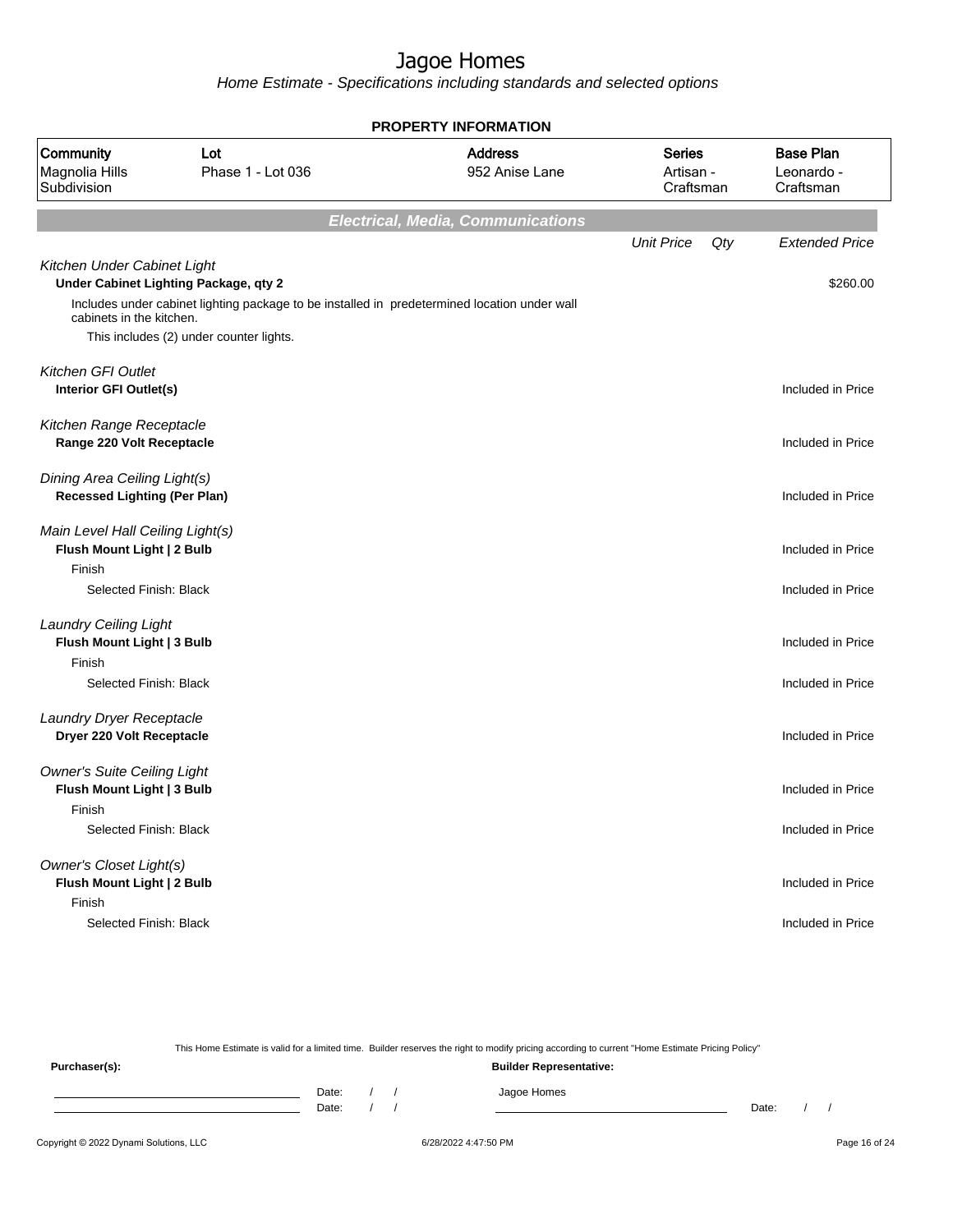Home Estimate - Specifications including standards and selected options

| <b>PROPERTY INFORMATION</b>                                                |                                                                                                                                       |                                          |                                         |                                             |  |  |  |  |  |
|----------------------------------------------------------------------------|---------------------------------------------------------------------------------------------------------------------------------------|------------------------------------------|-----------------------------------------|---------------------------------------------|--|--|--|--|--|
| Community<br>Magnolia Hills<br>Subdivision                                 | Lot<br>Phase 1 - Lot 036                                                                                                              | <b>Address</b><br>952 Anise Lane         | <b>Series</b><br>Artisan -<br>Craftsman | <b>Base Plan</b><br>Leonardo -<br>Craftsman |  |  |  |  |  |
|                                                                            |                                                                                                                                       | <b>Electrical, Media, Communications</b> |                                         |                                             |  |  |  |  |  |
|                                                                            |                                                                                                                                       |                                          | <b>Unit Price</b><br>Qty                | <b>Extended Price</b>                       |  |  |  |  |  |
| Kitchen Under Cabinet Light<br>cabinets in the kitchen.                    | Under Cabinet Lighting Package, qty 2<br>Includes under cabinet lighting package to be installed in predetermined location under wall |                                          |                                         | \$260.00                                    |  |  |  |  |  |
|                                                                            | This includes (2) under counter lights.                                                                                               |                                          |                                         |                                             |  |  |  |  |  |
| Kitchen GFI Outlet<br>Interior GFI Outlet(s)                               |                                                                                                                                       |                                          |                                         | Included in Price                           |  |  |  |  |  |
| Kitchen Range Receptacle<br>Range 220 Volt Receptacle                      |                                                                                                                                       |                                          |                                         | Included in Price                           |  |  |  |  |  |
| Dining Area Ceiling Light(s)<br><b>Recessed Lighting (Per Plan)</b>        |                                                                                                                                       |                                          |                                         | Included in Price                           |  |  |  |  |  |
| Main Level Hall Ceiling Light(s)<br>Flush Mount Light   2 Bulb             |                                                                                                                                       |                                          |                                         | Included in Price                           |  |  |  |  |  |
| Finish<br>Selected Finish: Black                                           |                                                                                                                                       |                                          |                                         | Included in Price                           |  |  |  |  |  |
| <b>Laundry Ceiling Light</b><br>Flush Mount Light   3 Bulb<br>Finish       |                                                                                                                                       |                                          |                                         | Included in Price                           |  |  |  |  |  |
| Selected Finish: Black                                                     |                                                                                                                                       |                                          |                                         | Included in Price                           |  |  |  |  |  |
| Laundry Dryer Receptacle<br>Dryer 220 Volt Receptacle                      |                                                                                                                                       |                                          |                                         | Included in Price                           |  |  |  |  |  |
| <b>Owner's Suite Ceiling Light</b><br>Flush Mount Light   3 Bulb<br>Finish |                                                                                                                                       |                                          |                                         | Included in Price                           |  |  |  |  |  |
| Selected Finish: Black                                                     |                                                                                                                                       |                                          |                                         | Included in Price                           |  |  |  |  |  |
| Owner's Closet Light(s)<br>Flush Mount Light   2 Bulb<br>Finish            |                                                                                                                                       |                                          |                                         | Included in Price                           |  |  |  |  |  |
| Selected Finish: Black                                                     |                                                                                                                                       |                                          |                                         | Included in Price                           |  |  |  |  |  |

This Home Estimate is valid for a limited time. Builder reserves the right to modify pricing according to current "Home Estimate Pricing Policy"

**Purchaser(s): Builder Representative:** Date: / / Jagoe Homes<br>Date: / / Jagoe Homes Date: / / Date: / /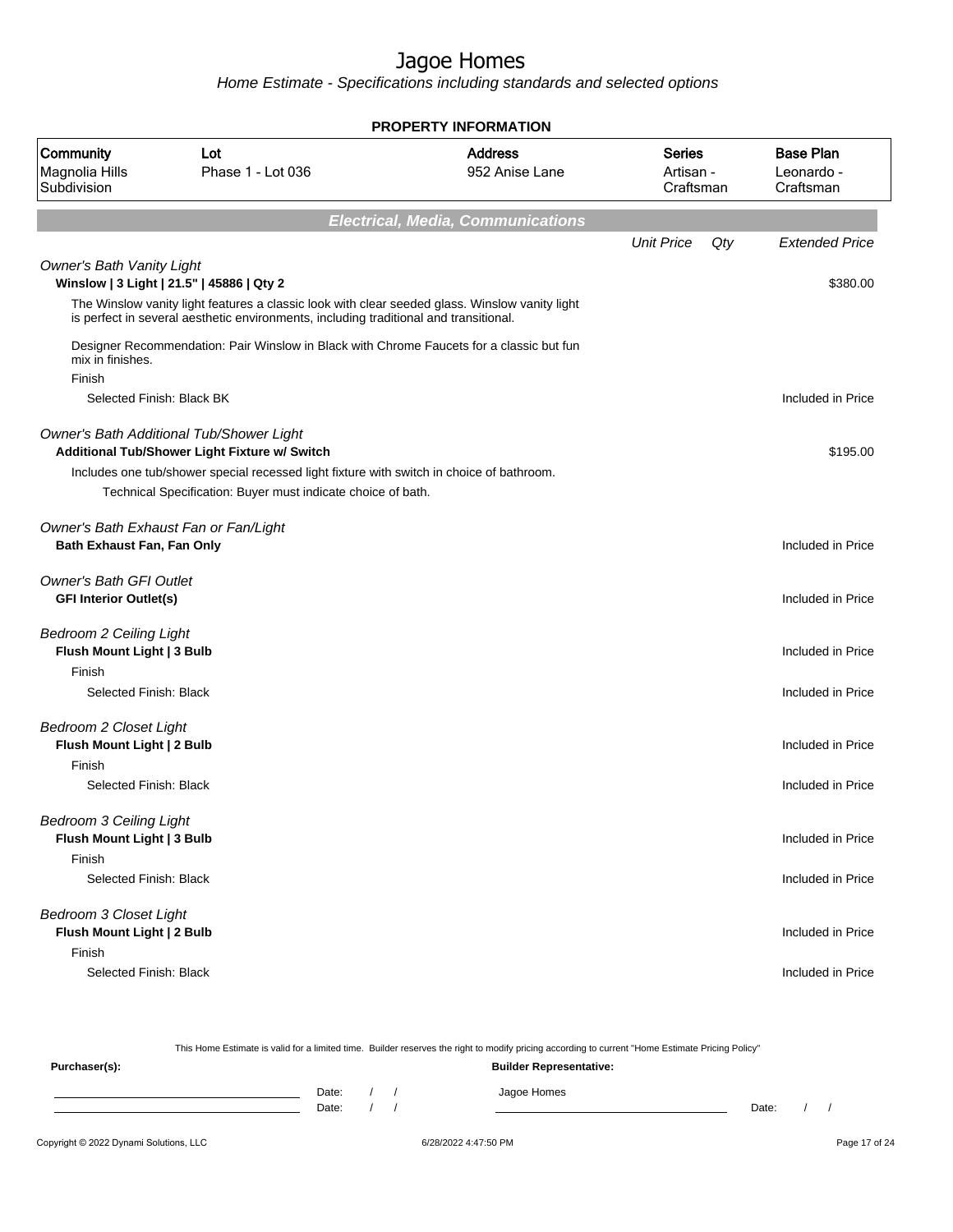Home Estimate - Specifications including standards and selected options

|                                                                        | <b>PROPERTY INFORMATION</b>                                                                                                                                                             |                                  |                                         |     |                                             |  |  |  |  |  |
|------------------------------------------------------------------------|-----------------------------------------------------------------------------------------------------------------------------------------------------------------------------------------|----------------------------------|-----------------------------------------|-----|---------------------------------------------|--|--|--|--|--|
| Community<br>Magnolia Hills<br>Subdivision                             | Lot<br>Phase 1 - Lot 036                                                                                                                                                                | <b>Address</b><br>952 Anise Lane | <b>Series</b><br>Artisan -<br>Craftsman |     | <b>Base Plan</b><br>Leonardo -<br>Craftsman |  |  |  |  |  |
|                                                                        |                                                                                                                                                                                         |                                  |                                         |     |                                             |  |  |  |  |  |
|                                                                        |                                                                                                                                                                                         |                                  | <b>Unit Price</b>                       | Qty | <b>Extended Price</b>                       |  |  |  |  |  |
| <b>Owner's Bath Vanity Light</b>                                       | Winslow   3 Light   21.5"   45886   Qty 2                                                                                                                                               |                                  |                                         |     | \$380.00                                    |  |  |  |  |  |
|                                                                        | The Winslow vanity light features a classic look with clear seeded glass. Winslow vanity light<br>is perfect in several aesthetic environments, including traditional and transitional. |                                  |                                         |     |                                             |  |  |  |  |  |
| mix in finishes.                                                       | Designer Recommendation: Pair Winslow in Black with Chrome Faucets for a classic but fun                                                                                                |                                  |                                         |     |                                             |  |  |  |  |  |
| Finish<br>Selected Finish: Black BK                                    |                                                                                                                                                                                         |                                  |                                         |     | Included in Price                           |  |  |  |  |  |
|                                                                        |                                                                                                                                                                                         |                                  |                                         |     |                                             |  |  |  |  |  |
|                                                                        | Owner's Bath Additional Tub/Shower Light<br>Additional Tub/Shower Light Fixture w/ Switch                                                                                               |                                  |                                         |     | \$195.00                                    |  |  |  |  |  |
|                                                                        | Includes one tub/shower special recessed light fixture with switch in choice of bathroom.<br>Technical Specification: Buyer must indicate choice of bath.                               |                                  |                                         |     |                                             |  |  |  |  |  |
| Bath Exhaust Fan, Fan Only                                             | Owner's Bath Exhaust Fan or Fan/Light                                                                                                                                                   |                                  |                                         |     | Included in Price                           |  |  |  |  |  |
| <b>Owner's Bath GFI Outlet</b><br><b>GFI Interior Outlet(s)</b>        |                                                                                                                                                                                         |                                  |                                         |     | Included in Price                           |  |  |  |  |  |
| <b>Bedroom 2 Ceiling Light</b><br>Flush Mount Light   3 Bulb<br>Finish |                                                                                                                                                                                         |                                  |                                         |     | Included in Price                           |  |  |  |  |  |
| Selected Finish: Black                                                 |                                                                                                                                                                                         |                                  |                                         |     | Included in Price                           |  |  |  |  |  |
| <b>Bedroom 2 Closet Light</b>                                          |                                                                                                                                                                                         |                                  |                                         |     |                                             |  |  |  |  |  |
| Flush Mount Light   2 Bulb                                             |                                                                                                                                                                                         |                                  |                                         |     | Included in Price                           |  |  |  |  |  |
| Finish<br>Selected Finish: Black                                       |                                                                                                                                                                                         |                                  |                                         |     | Included in Price                           |  |  |  |  |  |
| <b>Bedroom 3 Ceiling Light</b><br>Flush Mount Light   3 Bulb<br>Finish |                                                                                                                                                                                         |                                  |                                         |     | Included in Price                           |  |  |  |  |  |
| Selected Finish: Black                                                 |                                                                                                                                                                                         |                                  |                                         |     | Included in Price                           |  |  |  |  |  |
| <b>Bedroom 3 Closet Light</b><br>Flush Mount Light   2 Bulb<br>Finish  |                                                                                                                                                                                         |                                  |                                         |     | Included in Price                           |  |  |  |  |  |
| Selected Finish: Black                                                 |                                                                                                                                                                                         |                                  |                                         |     | Included in Price                           |  |  |  |  |  |

Copyright © 2022 Dynami Solutions, LLC <br>
6/28/2022 4:47:50 PM Page 17 of 24 This Home Estimate is valid for a limited time. Builder reserves the right to modify pricing according to current "Home Estimate Pricing Policy" **Purchaser(s): Builder Representative:** Date: / / Jagoe Homes<br>Date: / / Jagoe Homes Date: / / Date: / /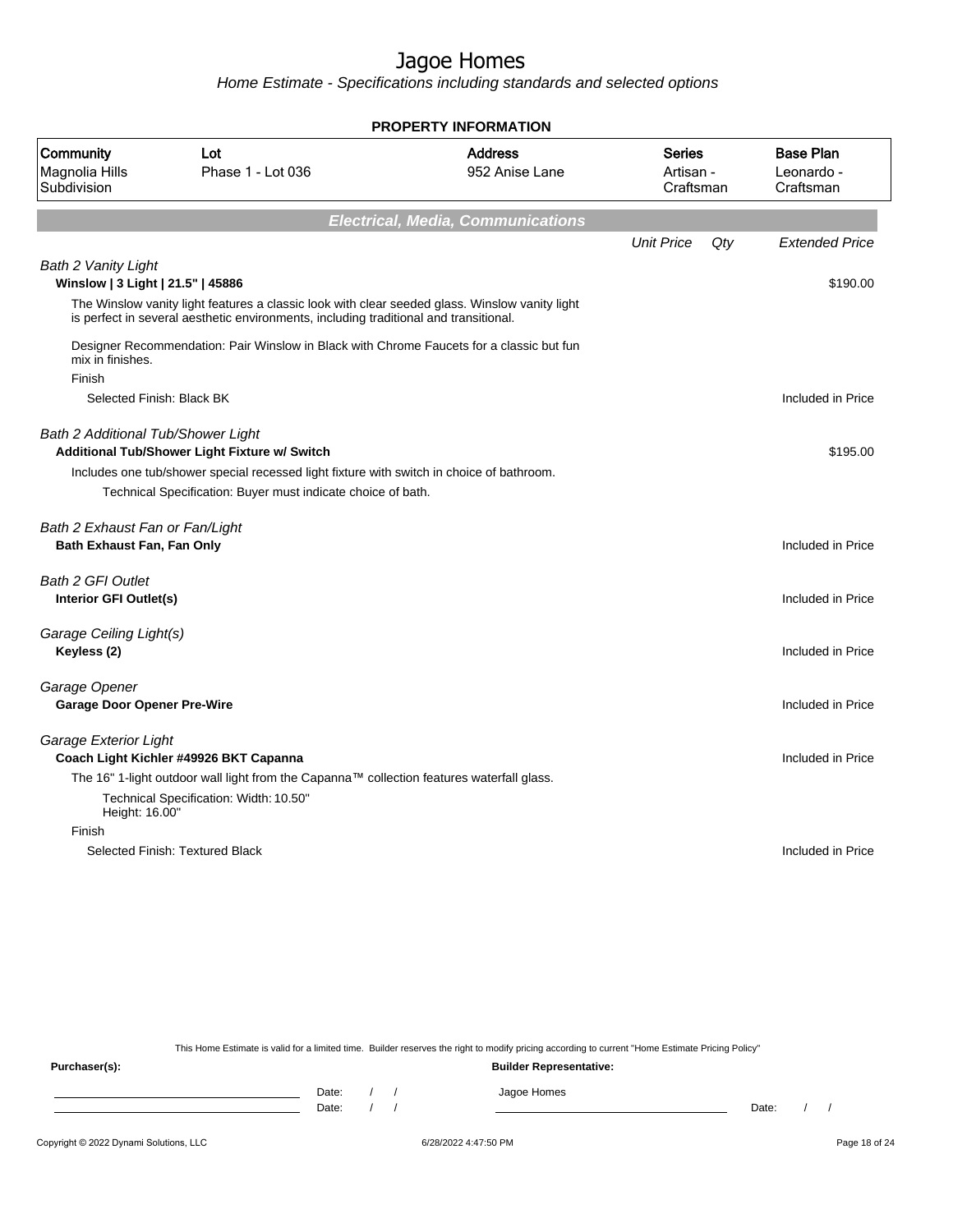Home Estimate - Specifications including standards and selected options

|                                                                 |                                                                                                                                                                                         | <b>PROPERTY INFORMATION</b>              |                                         |     |                                             |
|-----------------------------------------------------------------|-----------------------------------------------------------------------------------------------------------------------------------------------------------------------------------------|------------------------------------------|-----------------------------------------|-----|---------------------------------------------|
| Community<br>Magnolia Hills<br>Subdivision                      | Lot<br>Phase 1 - Lot 036                                                                                                                                                                | <b>Address</b><br>952 Anise Lane         | <b>Series</b><br>Artisan -<br>Craftsman |     | <b>Base Plan</b><br>Leonardo -<br>Craftsman |
|                                                                 |                                                                                                                                                                                         | <b>Electrical, Media, Communications</b> |                                         |     |                                             |
|                                                                 |                                                                                                                                                                                         |                                          | <b>Unit Price</b>                       | Qtv | <b>Extended Price</b>                       |
| <b>Bath 2 Vanity Light</b><br>Winslow   3 Light   21.5"   45886 |                                                                                                                                                                                         |                                          |                                         |     | \$190.00                                    |
|                                                                 | The Winslow vanity light features a classic look with clear seeded glass. Winslow vanity light<br>is perfect in several aesthetic environments, including traditional and transitional. |                                          |                                         |     |                                             |
| mix in finishes.<br>Finish                                      | Designer Recommendation: Pair Winslow in Black with Chrome Faucets for a classic but fun                                                                                                |                                          |                                         |     |                                             |
|                                                                 | Selected Finish: Black BK                                                                                                                                                               |                                          |                                         |     | Included in Price                           |
| <b>Bath 2 Additional Tub/Shower Light</b>                       | Additional Tub/Shower Light Fixture w/ Switch                                                                                                                                           |                                          |                                         |     | \$195.00                                    |
|                                                                 | Includes one tub/shower special recessed light fixture with switch in choice of bathroom.<br>Technical Specification: Buyer must indicate choice of bath.                               |                                          |                                         |     |                                             |
| Bath 2 Exhaust Fan or Fan/Light<br>Bath Exhaust Fan, Fan Only   |                                                                                                                                                                                         |                                          |                                         |     | Included in Price                           |
| <b>Bath 2 GFI Outlet</b><br>Interior GFI Outlet(s)              |                                                                                                                                                                                         |                                          |                                         |     | Included in Price                           |
| Garage Ceiling Light(s)<br>Keyless (2)                          |                                                                                                                                                                                         |                                          |                                         |     | Included in Price                           |
| Garage Opener<br><b>Garage Door Opener Pre-Wire</b>             |                                                                                                                                                                                         |                                          |                                         |     | Included in Price                           |
| Garage Exterior Light                                           | Coach Light Kichler #49926 BKT Capanna                                                                                                                                                  |                                          |                                         |     | Included in Price                           |
| Height: 16.00"                                                  | The 16" 1-light outdoor wall light from the Capanna™ collection features waterfall glass.<br>Technical Specification: Width: 10.50"                                                     |                                          |                                         |     |                                             |
| Finish                                                          |                                                                                                                                                                                         |                                          |                                         |     |                                             |
|                                                                 | Selected Finish: Textured Black                                                                                                                                                         |                                          |                                         |     | Included in Price                           |
|                                                                 |                                                                                                                                                                                         |                                          |                                         |     |                                             |

This Home Estimate is valid for a limited time. Builder reserves the right to modify pricing according to current "Home Estimate Pricing Policy"

**Purchaser(s): Builder Representative:** Date: / / Jagoe Homes<br>Date: / / Jagoe Homes Date: / / **Date: / / 2006** Date: / / / Date: / / / Date: / / / 2006 Date: / / / 2006 Date: / / / 2006 Date: / / / 2006 Date: / / / 2007 Date: / / / 2007 Date: / / / 2007 Date: / / / 2007 Date: / / / 2007 Date: / / / 2007 D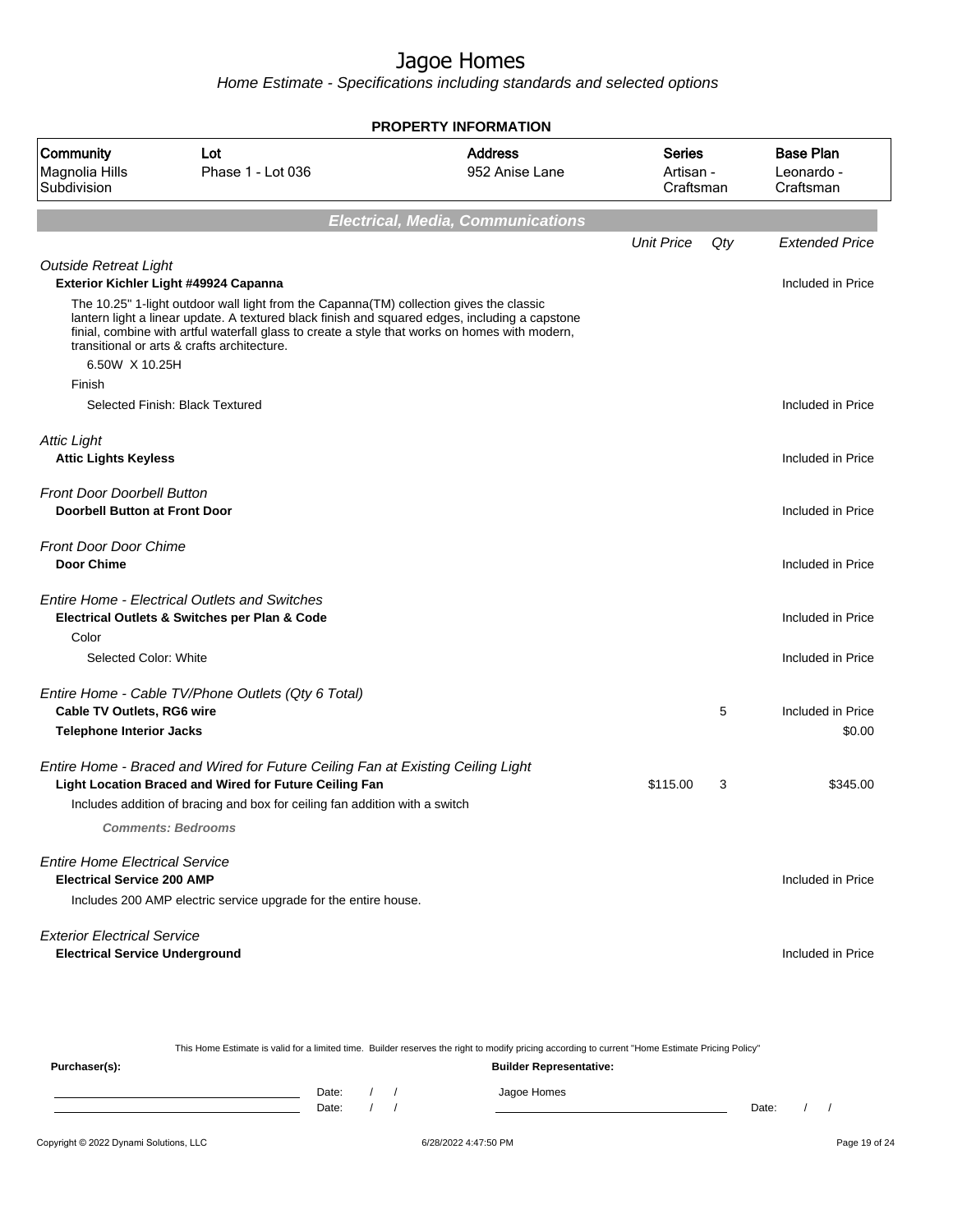|                                                                            |                                                                                                                                                                                                                                                                                                                                            | <b>PROPERTY INFORMATION</b>              |                                         |     |                                             |
|----------------------------------------------------------------------------|--------------------------------------------------------------------------------------------------------------------------------------------------------------------------------------------------------------------------------------------------------------------------------------------------------------------------------------------|------------------------------------------|-----------------------------------------|-----|---------------------------------------------|
| Community<br>Magnolia Hills<br>Subdivision                                 | Lot<br>Phase 1 - Lot 036                                                                                                                                                                                                                                                                                                                   | <b>Address</b><br>952 Anise Lane         | <b>Series</b><br>Artisan -<br>Craftsman |     | <b>Base Plan</b><br>Leonardo -<br>Craftsman |
|                                                                            |                                                                                                                                                                                                                                                                                                                                            | <b>Electrical, Media, Communications</b> |                                         |     |                                             |
|                                                                            |                                                                                                                                                                                                                                                                                                                                            |                                          | <b>Unit Price</b>                       | Qty | <b>Extended Price</b>                       |
| <b>Outside Retreat Light</b>                                               | Exterior Kichler Light #49924 Capanna                                                                                                                                                                                                                                                                                                      |                                          |                                         |     | Included in Price                           |
|                                                                            | The 10.25" 1-light outdoor wall light from the Capanna(TM) collection gives the classic<br>lantern light a linear update. A textured black finish and squared edges, including a capstone<br>finial, combine with artful waterfall glass to create a style that works on homes with modern,<br>transitional or arts & crafts architecture. |                                          |                                         |     |                                             |
| 6.50W X 10.25H<br>Finish                                                   |                                                                                                                                                                                                                                                                                                                                            |                                          |                                         |     |                                             |
|                                                                            | Selected Finish: Black Textured                                                                                                                                                                                                                                                                                                            |                                          |                                         |     | Included in Price                           |
| <b>Attic Light</b>                                                         |                                                                                                                                                                                                                                                                                                                                            |                                          |                                         |     |                                             |
| <b>Attic Lights Keyless</b>                                                |                                                                                                                                                                                                                                                                                                                                            |                                          |                                         |     | Included in Price                           |
| <b>Front Door Doorbell Button</b><br><b>Doorbell Button at Front Door</b>  |                                                                                                                                                                                                                                                                                                                                            |                                          |                                         |     | Included in Price                           |
| Front Door Door Chime<br><b>Door Chime</b>                                 |                                                                                                                                                                                                                                                                                                                                            |                                          |                                         |     | Included in Price                           |
|                                                                            | <b>Entire Home - Electrical Outlets and Switches</b><br>Electrical Outlets & Switches per Plan & Code                                                                                                                                                                                                                                      |                                          |                                         |     | Included in Price                           |
| Color                                                                      |                                                                                                                                                                                                                                                                                                                                            |                                          |                                         |     |                                             |
| Selected Color: White                                                      |                                                                                                                                                                                                                                                                                                                                            |                                          |                                         |     | Included in Price                           |
|                                                                            | Entire Home - Cable TV/Phone Outlets (Qty 6 Total)                                                                                                                                                                                                                                                                                         |                                          |                                         |     |                                             |
| <b>Cable TV Outlets, RG6 wire</b>                                          |                                                                                                                                                                                                                                                                                                                                            |                                          |                                         | 5   | Included in Price                           |
| <b>Telephone Interior Jacks</b>                                            |                                                                                                                                                                                                                                                                                                                                            |                                          |                                         |     | \$0.00                                      |
|                                                                            | Entire Home - Braced and Wired for Future Ceiling Fan at Existing Ceiling Light<br><b>Light Location Braced and Wired for Future Ceiling Fan</b>                                                                                                                                                                                           |                                          | \$115.00                                | 3   | \$345.00                                    |
|                                                                            | Includes addition of bracing and box for ceiling fan addition with a switch                                                                                                                                                                                                                                                                |                                          |                                         |     |                                             |
|                                                                            | <b>Comments: Bedrooms</b>                                                                                                                                                                                                                                                                                                                  |                                          |                                         |     |                                             |
| <b>Entire Home Electrical Service</b><br><b>Electrical Service 200 AMP</b> | Includes 200 AMP electric service upgrade for the entire house.                                                                                                                                                                                                                                                                            |                                          |                                         |     | Included in Price                           |
| <b>Exterior Electrical Service</b>                                         |                                                                                                                                                                                                                                                                                                                                            |                                          |                                         |     |                                             |
| <b>Electrical Service Underground</b>                                      |                                                                                                                                                                                                                                                                                                                                            |                                          |                                         |     | Included in Price                           |

| This Home Estimate is valid for a limited time. Builder reserves the right to modify pricing according to current "Home Estimate Pricing Policy" |       |  |  |                                |       |  |  |
|--------------------------------------------------------------------------------------------------------------------------------------------------|-------|--|--|--------------------------------|-------|--|--|
| Purchaser(s):                                                                                                                                    |       |  |  | <b>Builder Representative:</b> |       |  |  |
|                                                                                                                                                  | Date: |  |  | Jagoe Homes                    |       |  |  |
|                                                                                                                                                  | Date: |  |  |                                | Date: |  |  |
|                                                                                                                                                  |       |  |  |                                |       |  |  |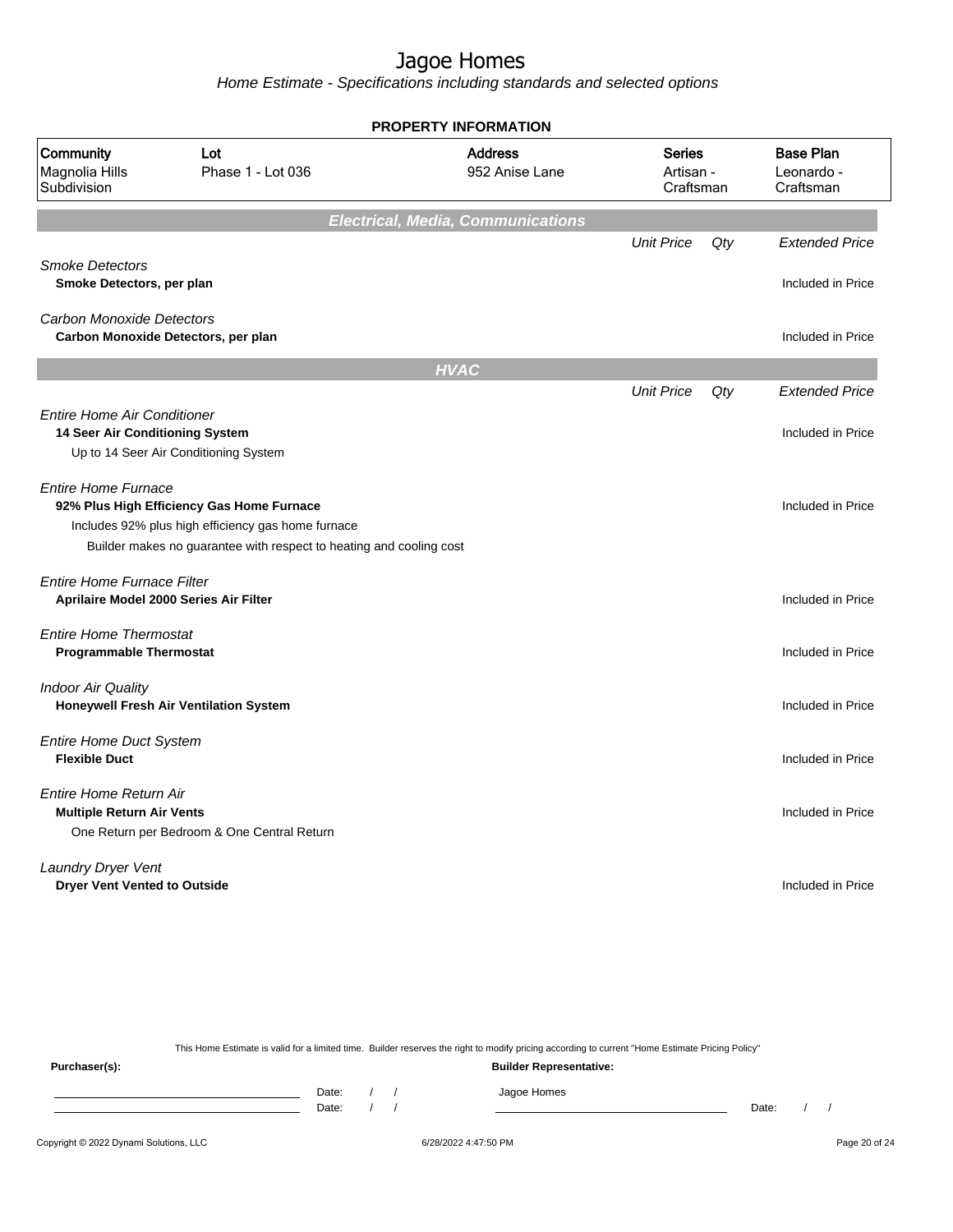Home Estimate - Specifications including standards and selected options

|                                                                             |                                                                                                                                                                        | <b>PROPERTY INFORMATION</b>              |                                         |     |                                             |
|-----------------------------------------------------------------------------|------------------------------------------------------------------------------------------------------------------------------------------------------------------------|------------------------------------------|-----------------------------------------|-----|---------------------------------------------|
| Community<br>Magnolia Hills<br>Subdivision                                  | Lot<br>Phase 1 - Lot 036                                                                                                                                               | <b>Address</b><br>952 Anise Lane         | <b>Series</b><br>Artisan -<br>Craftsman |     | <b>Base Plan</b><br>Leonardo -<br>Craftsman |
|                                                                             |                                                                                                                                                                        | <b>Electrical, Media, Communications</b> |                                         |     |                                             |
|                                                                             |                                                                                                                                                                        |                                          | <b>Unit Price</b>                       | Qty | <b>Extended Price</b>                       |
| <b>Smoke Detectors</b><br>Smoke Detectors, per plan                         |                                                                                                                                                                        |                                          |                                         |     | Included in Price                           |
| <b>Carbon Monoxide Detectors</b>                                            | Carbon Monoxide Detectors, per plan                                                                                                                                    |                                          |                                         |     | Included in Price                           |
|                                                                             |                                                                                                                                                                        | <b>HVAC</b>                              |                                         |     |                                             |
|                                                                             |                                                                                                                                                                        |                                          | <b>Unit Price</b>                       | Qty | <b>Extended Price</b>                       |
| <b>Entire Home Air Conditioner</b><br>14 Seer Air Conditioning System       |                                                                                                                                                                        |                                          |                                         |     | Included in Price                           |
|                                                                             | Up to 14 Seer Air Conditioning System                                                                                                                                  |                                          |                                         |     |                                             |
| <b>Entire Home Furnace</b>                                                  | 92% Plus High Efficiency Gas Home Furnace<br>Includes 92% plus high efficiency gas home furnace<br>Builder makes no guarantee with respect to heating and cooling cost |                                          |                                         |     | Included in Price                           |
| <b>Entire Home Furnace Filter</b><br>Aprilaire Model 2000 Series Air Filter |                                                                                                                                                                        |                                          |                                         |     | Included in Price                           |
| <b>Entire Home Thermostat</b><br><b>Programmable Thermostat</b>             |                                                                                                                                                                        |                                          |                                         |     | Included in Price                           |
| <b>Indoor Air Quality</b>                                                   | Honeywell Fresh Air Ventilation System                                                                                                                                 |                                          |                                         |     | Included in Price                           |
| <b>Entire Home Duct System</b><br><b>Flexible Duct</b>                      |                                                                                                                                                                        |                                          |                                         |     | Included in Price                           |
| <b>Entire Home Return Air</b><br><b>Multiple Return Air Vents</b>           | One Return per Bedroom & One Central Return                                                                                                                            |                                          |                                         |     | Included in Price                           |
| <b>Laundry Dryer Vent</b><br><b>Dryer Vent Vented to Outside</b>            |                                                                                                                                                                        |                                          |                                         |     | Included in Price                           |

This Home Estimate is valid for a limited time. Builder reserves the right to modify pricing according to current "Home Estimate Pricing Policy" **Purchaser(s): Builder Representative:** Date: / / Jagoe Homes<br>Date: / / Jagoe Homes Date: / / Date: / /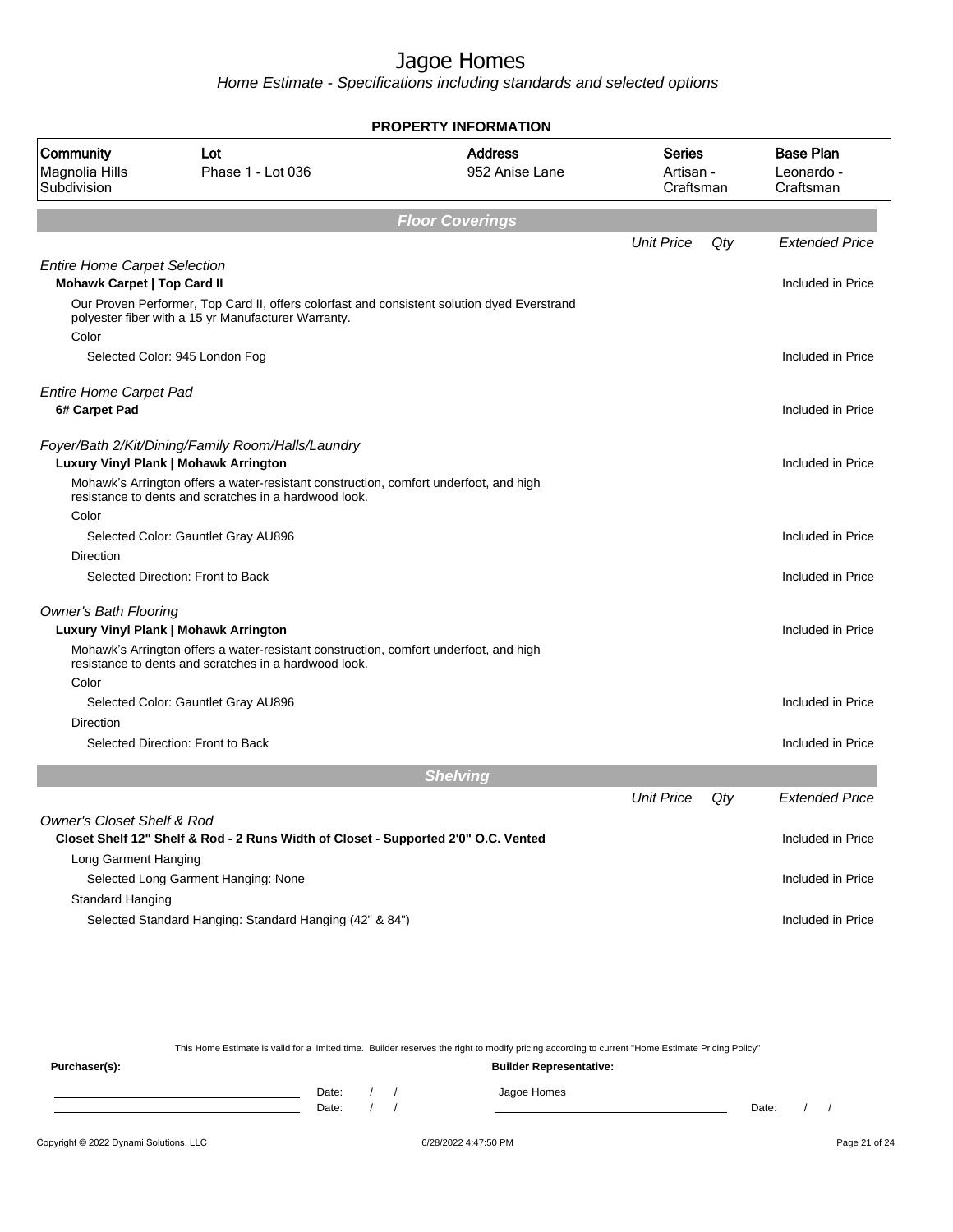Home Estimate - Specifications including standards and selected options

|                                            |                                                                                                                                                    | PROPERTY INFORMATION             |                                         |     |                                             |
|--------------------------------------------|----------------------------------------------------------------------------------------------------------------------------------------------------|----------------------------------|-----------------------------------------|-----|---------------------------------------------|
| Community<br>Magnolia Hills<br>Subdivision | Lot<br>Phase 1 - Lot 036                                                                                                                           | <b>Address</b><br>952 Anise Lane | <b>Series</b><br>Artisan -<br>Craftsman |     | <b>Base Plan</b><br>Leonardo -<br>Craftsman |
|                                            |                                                                                                                                                    | <b>Floor Coverings</b>           |                                         |     |                                             |
|                                            |                                                                                                                                                    |                                  | <b>Unit Price</b>                       | Qty | <b>Extended Price</b>                       |
| <b>Entire Home Carpet Selection</b>        |                                                                                                                                                    |                                  |                                         |     |                                             |
| <b>Mohawk Carpet   Top Card II</b>         |                                                                                                                                                    |                                  |                                         |     | Included in Price                           |
|                                            | Our Proven Performer, Top Card II, offers colorfast and consistent solution dyed Everstrand<br>polyester fiber with a 15 yr Manufacturer Warranty. |                                  |                                         |     |                                             |
| Color                                      |                                                                                                                                                    |                                  |                                         |     |                                             |
|                                            | Selected Color: 945 London Fog                                                                                                                     |                                  |                                         |     | Included in Price                           |
| <b>Entire Home Carpet Pad</b>              |                                                                                                                                                    |                                  |                                         |     |                                             |
| 6# Carpet Pad                              |                                                                                                                                                    |                                  |                                         |     | Included in Price                           |
|                                            |                                                                                                                                                    |                                  |                                         |     |                                             |
|                                            | Foyer/Bath 2/Kit/Dining/Family Room/Halls/Laundry<br>Luxury Vinyl Plank   Mohawk Arrington                                                         |                                  |                                         |     | Included in Price                           |
|                                            | Mohawk's Arrington offers a water-resistant construction, comfort underfoot, and high<br>resistance to dents and scratches in a hardwood look.     |                                  |                                         |     |                                             |
| Color                                      |                                                                                                                                                    |                                  |                                         |     |                                             |
|                                            | Selected Color: Gauntlet Gray AU896                                                                                                                |                                  |                                         |     | Included in Price                           |
| Direction                                  |                                                                                                                                                    |                                  |                                         |     |                                             |
|                                            | Selected Direction: Front to Back                                                                                                                  |                                  |                                         |     | Included in Price                           |
| <b>Owner's Bath Flooring</b>               |                                                                                                                                                    |                                  |                                         |     |                                             |
|                                            | Luxury Vinyl Plank   Mohawk Arrington                                                                                                              |                                  |                                         |     | Included in Price                           |
|                                            | Mohawk's Arrington offers a water-resistant construction, comfort underfoot, and high<br>resistance to dents and scratches in a hardwood look.     |                                  |                                         |     |                                             |
| Color                                      |                                                                                                                                                    |                                  |                                         |     |                                             |
|                                            | Selected Color: Gauntlet Gray AU896                                                                                                                |                                  |                                         |     | Included in Price                           |
| Direction                                  |                                                                                                                                                    |                                  |                                         |     |                                             |
|                                            | Selected Direction: Front to Back                                                                                                                  |                                  |                                         |     | Included in Price                           |
|                                            |                                                                                                                                                    | <b>Shelving</b>                  |                                         |     |                                             |
|                                            |                                                                                                                                                    |                                  | <b>Unit Price</b>                       | Qty | <b>Extended Price</b>                       |
| <b>Owner's Closet Shelf &amp; Rod</b>      |                                                                                                                                                    |                                  |                                         |     |                                             |
|                                            | Closet Shelf 12" Shelf & Rod - 2 Runs Width of Closet - Supported 2'0" O.C. Vented                                                                 |                                  |                                         |     | Included in Price                           |
| Long Garment Hanging                       |                                                                                                                                                    |                                  |                                         |     |                                             |
|                                            | Selected Long Garment Hanging: None                                                                                                                |                                  |                                         |     | Included in Price                           |
| Standard Hanging                           |                                                                                                                                                    |                                  |                                         |     |                                             |
|                                            | Selected Standard Hanging: Standard Hanging (42" & 84")                                                                                            |                                  |                                         |     | Included in Price                           |
|                                            |                                                                                                                                                    |                                  |                                         |     |                                             |

**PROPERTY INFORMATION**

This Home Estimate is valid for a limited time. Builder reserves the right to modify pricing according to current "Home Estimate Pricing Policy"

**Purchaser(s): Builder Representative:** Date: / / Jagoe Homes<br>Date: / / Jagoe Homes Date: / / **Date: / / 2006** Date: / / / Date: / / / Date: / / / 2006 Date: / / / 2006 Date: / / / 2006 Date: / / / 2006 Date: / / / 2007 Date: / / / 2007 Date: / / / 2007 Date: / / / 2007 Date: / / / 2007 Date: / / / 2007 D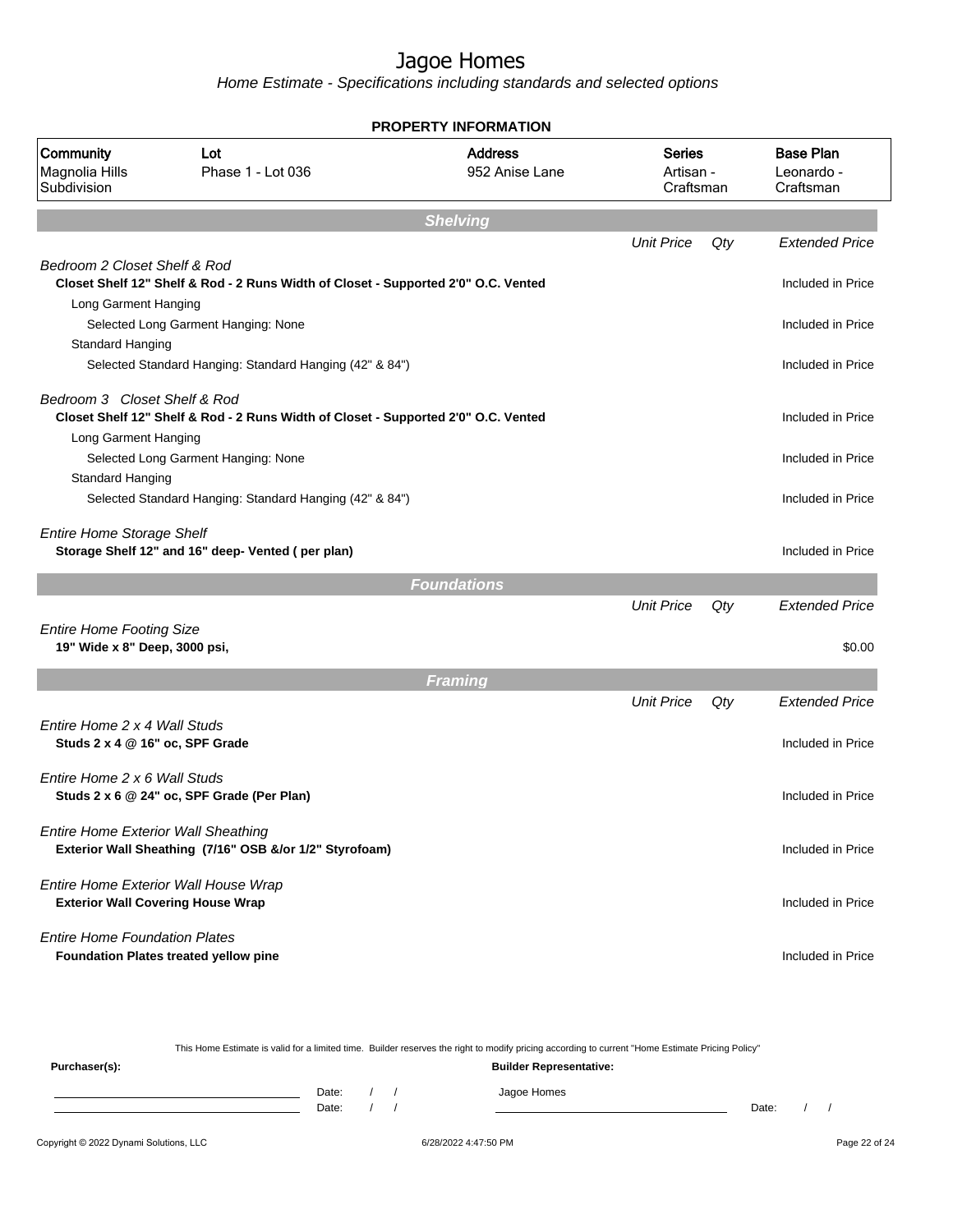|                                                                 |                                                                                    | <b>PROPERTY INFORMATION</b>      |                                  |     |                                             |
|-----------------------------------------------------------------|------------------------------------------------------------------------------------|----------------------------------|----------------------------------|-----|---------------------------------------------|
| Community<br>Magnolia Hills<br>Subdivision                      | Lot<br>Phase 1 - Lot 036                                                           | <b>Address</b><br>952 Anise Lane | Series<br>Artisan -<br>Craftsman |     | <b>Base Plan</b><br>Leonardo -<br>Craftsman |
|                                                                 |                                                                                    | <b>Shelving</b>                  |                                  |     |                                             |
|                                                                 |                                                                                    |                                  | <b>Unit Price</b>                | Qty | <b>Extended Price</b>                       |
| Bedroom 2 Closet Shelf & Rod                                    | Closet Shelf 12" Shelf & Rod - 2 Runs Width of Closet - Supported 2'0" O.C. Vented |                                  |                                  |     | Included in Price                           |
| Long Garment Hanging                                            | Selected Long Garment Hanging: None                                                |                                  |                                  |     | Included in Price                           |
| Standard Hanging                                                | Selected Standard Hanging: Standard Hanging (42" & 84")                            |                                  |                                  |     | Included in Price                           |
| Bedroom 3 Closet Shelf & Rod                                    | Closet Shelf 12" Shelf & Rod - 2 Runs Width of Closet - Supported 2'0" O.C. Vented |                                  |                                  |     | Included in Price                           |
| Long Garment Hanging<br>Standard Hanging                        | Selected Long Garment Hanging: None                                                |                                  |                                  |     | Included in Price                           |
|                                                                 | Selected Standard Hanging: Standard Hanging (42" & 84")                            |                                  |                                  |     | Included in Price                           |
| <b>Entire Home Storage Shelf</b>                                | Storage Shelf 12" and 16" deep- Vented (per plan)                                  |                                  |                                  |     | Included in Price                           |
|                                                                 |                                                                                    | <b>Foundations</b>               |                                  |     |                                             |
| <b>Entire Home Footing Size</b>                                 |                                                                                    |                                  | <b>Unit Price</b>                | Qty | <b>Extended Price</b>                       |
| 19" Wide x 8" Deep, 3000 psi,                                   |                                                                                    |                                  |                                  |     | \$0.00                                      |
|                                                                 |                                                                                    | <b>Framing</b>                   |                                  |     |                                             |
|                                                                 |                                                                                    |                                  | <b>Unit Price</b>                | Qty | <b>Extended Price</b>                       |
| Fntire Home 2 x 4 Wall Studs<br>Studs 2 x 4 @ 16" oc, SPF Grade |                                                                                    |                                  |                                  |     | Included in Price                           |
| Entire Home 2 x 6 Wall Studs                                    | Studs 2 x 6 @ 24" oc, SPF Grade (Per Plan)                                         |                                  |                                  |     | Included in Price                           |
| <b>Entire Home Exterior Wall Sheathing</b>                      | Exterior Wall Sheathing (7/16" OSB &/or 1/2" Styrofoam)                            |                                  |                                  |     | Included in Price                           |
| <b>Exterior Wall Covering House Wrap</b>                        | Entire Home Exterior Wall House Wrap                                               |                                  |                                  |     | Included in Price                           |
| <b>Entire Home Foundation Plates</b>                            | <b>Foundation Plates treated yellow pine</b>                                       |                                  |                                  |     | Included in Price                           |

|                                        |                |  | This Home Estimate is valid for a limited time. Builder reserves the right to modify pricing according to current "Home Estimate Pricing Policy" |       |  |               |
|----------------------------------------|----------------|--|--------------------------------------------------------------------------------------------------------------------------------------------------|-------|--|---------------|
| Purchaser(s):                          |                |  | <b>Builder Representative:</b>                                                                                                                   |       |  |               |
|                                        | Date:<br>Date: |  | Jagoe Homes                                                                                                                                      | Date: |  |               |
| Copyright © 2022 Dynami Solutions, LLC |                |  | 6/28/2022 4:47:50 PM                                                                                                                             |       |  | Page 22 of 24 |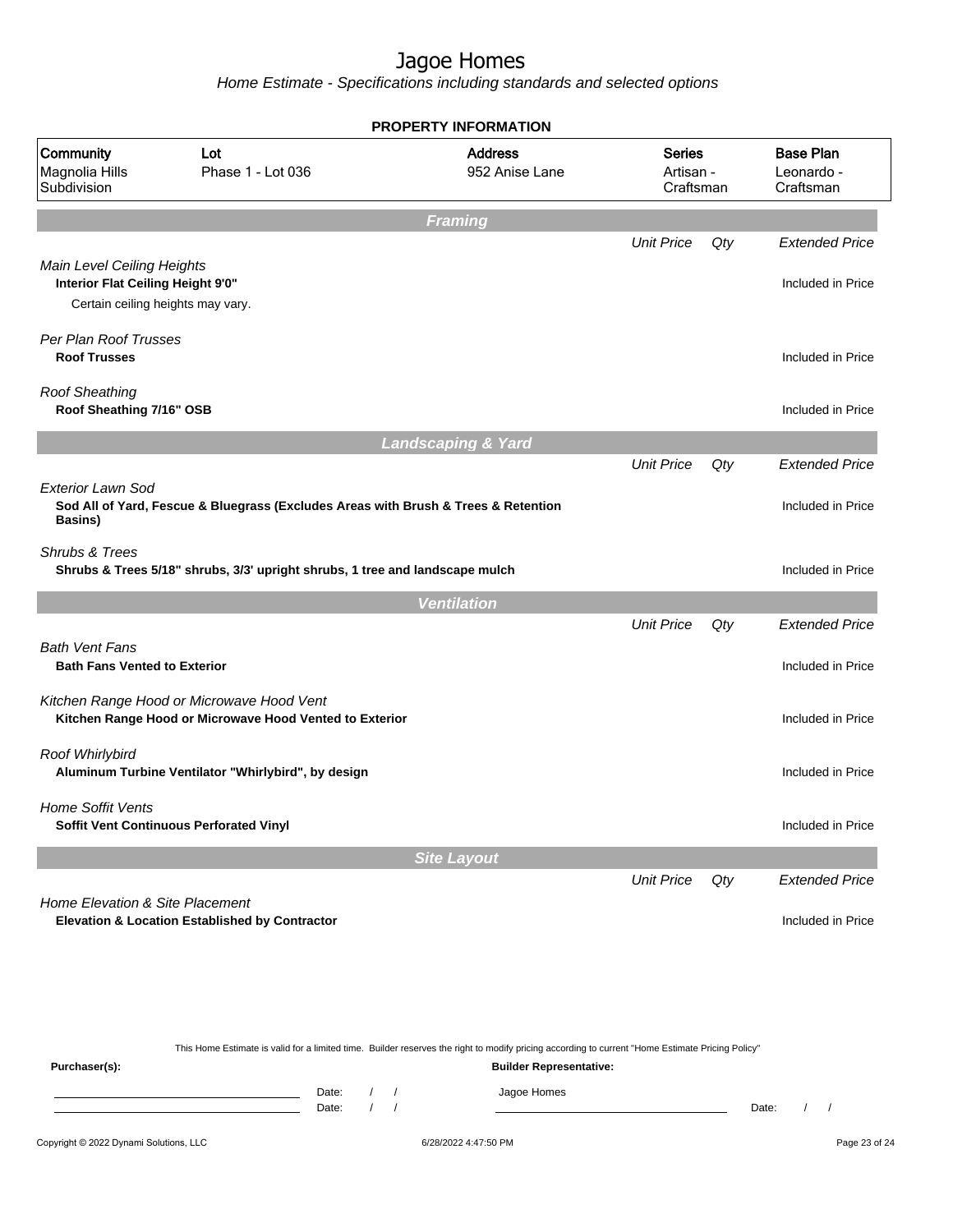|                                                                                                      |                                                                                                      | <b>PROPERTY INFORMATION</b>      |                                         |     |                                             |
|------------------------------------------------------------------------------------------------------|------------------------------------------------------------------------------------------------------|----------------------------------|-----------------------------------------|-----|---------------------------------------------|
| Community<br>Magnolia Hills<br>Subdivision                                                           | Lot<br>Phase 1 - Lot 036                                                                             | <b>Address</b><br>952 Anise Lane | <b>Series</b><br>Artisan -<br>Craftsman |     | <b>Base Plan</b><br>Leonardo -<br>Craftsman |
|                                                                                                      |                                                                                                      | <b>Framing</b>                   |                                         |     |                                             |
|                                                                                                      |                                                                                                      |                                  | <b>Unit Price</b>                       | Qty | <b>Extended Price</b>                       |
| Main Level Ceiling Heights<br>Interior Flat Ceiling Height 9'0"<br>Certain ceiling heights may vary. |                                                                                                      |                                  |                                         |     | Included in Price                           |
| Per Plan Roof Trusses                                                                                |                                                                                                      |                                  |                                         |     |                                             |
| <b>Roof Trusses</b>                                                                                  |                                                                                                      |                                  |                                         |     | Included in Price                           |
| <b>Roof Sheathing</b><br>Roof Sheathing 7/16" OSB                                                    |                                                                                                      |                                  |                                         |     | Included in Price                           |
|                                                                                                      |                                                                                                      | <b>Landscaping &amp; Yard</b>    |                                         |     |                                             |
|                                                                                                      |                                                                                                      |                                  | <b>Unit Price</b>                       | Qty | <b>Extended Price</b>                       |
| Exterior Lawn Sod<br><b>Basins</b> )                                                                 | Sod All of Yard, Fescue & Bluegrass (Excludes Areas with Brush & Trees & Retention                   |                                  |                                         |     | Included in Price                           |
| Shrubs & Trees                                                                                       | Shrubs & Trees 5/18" shrubs, 3/3' upright shrubs, 1 tree and landscape mulch                         |                                  |                                         |     | Included in Price                           |
|                                                                                                      |                                                                                                      | <b>Ventilation</b>               |                                         |     |                                             |
|                                                                                                      |                                                                                                      |                                  | <b>Unit Price</b>                       | Qty | <b>Extended Price</b>                       |
| <b>Bath Vent Fans</b><br><b>Bath Fans Vented to Exterior</b>                                         |                                                                                                      |                                  |                                         |     | Included in Price                           |
|                                                                                                      | Kitchen Range Hood or Microwave Hood Vent<br>Kitchen Range Hood or Microwave Hood Vented to Exterior |                                  |                                         |     | Included in Price                           |
| Roof Whirlybird                                                                                      | Aluminum Turbine Ventilator "Whirlybird", by design                                                  |                                  |                                         |     | Included in Price                           |
| <b>Home Soffit Vents</b>                                                                             | Soffit Vent Continuous Perforated Vinyl                                                              |                                  |                                         |     | Included in Price                           |
|                                                                                                      |                                                                                                      | <b>Site Layout</b>               |                                         |     |                                             |
|                                                                                                      |                                                                                                      |                                  | <b>Unit Price</b>                       | Qty | <b>Extended Price</b>                       |
| Home Elevation & Site Placement                                                                      | Elevation & Location Established by Contractor                                                       |                                  |                                         |     | Included in Price                           |

|               |       |  | This Home Estimate is valid for a limited time. Builder reserves the right to modify pricing according to current "Home Estimate Pricing Policy" |       |  |
|---------------|-------|--|--------------------------------------------------------------------------------------------------------------------------------------------------|-------|--|
| Purchaser(s): |       |  | <b>Builder Representative:</b>                                                                                                                   |       |  |
|               | Date: |  | Jagoe Homes                                                                                                                                      |       |  |
|               | Date: |  |                                                                                                                                                  | Date: |  |
|               |       |  |                                                                                                                                                  |       |  |